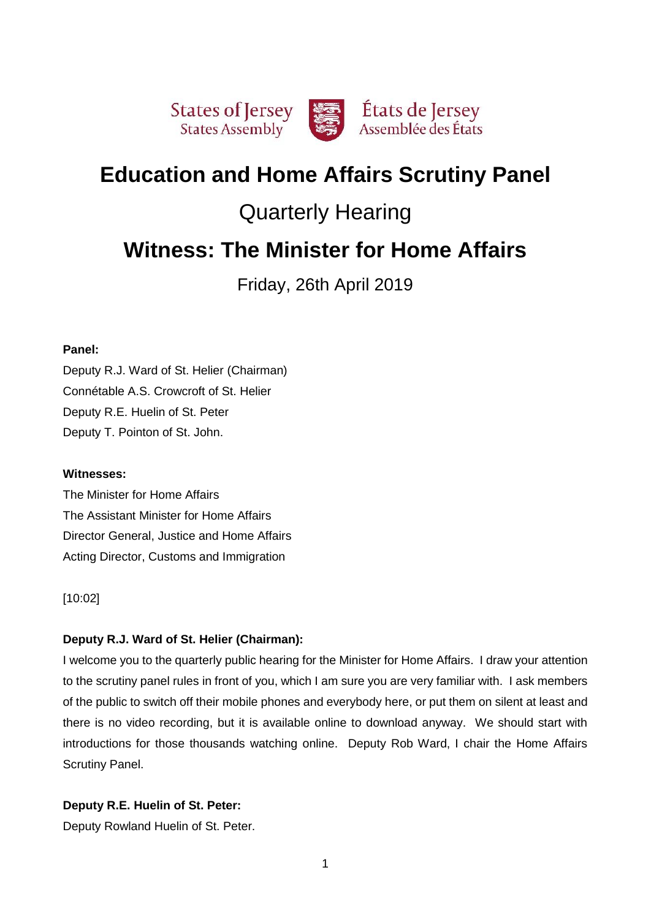

# **Education and Home Affairs Scrutiny Panel**

# Quarterly Hearing

# **Witness: The Minister for Home Affairs**

Friday, 26th April 2019

### **Panel:**

Deputy R.J. Ward of St. Helier (Chairman) Connétable A.S. Crowcroft of St. Helier Deputy R.E. Huelin of St. Peter Deputy T. Pointon of St. John.

### **Witnesses:**

The Minister for Home Affairs The Assistant Minister for Home Affairs Director General, Justice and Home Affairs Acting Director, Customs and Immigration

[10:02]

# **Deputy R.J. Ward of St. Helier (Chairman):**

I welcome you to the quarterly public hearing for the Minister for Home Affairs. I draw your attention to the scrutiny panel rules in front of you, which I am sure you are very familiar with. I ask members of the public to switch off their mobile phones and everybody here, or put them on silent at least and there is no video recording, but it is available online to download anyway. We should start with introductions for those thousands watching online. Deputy Rob Ward, I chair the Home Affairs Scrutiny Panel.

# **Deputy R.E. Huelin of St. Peter:**

Deputy Rowland Huelin of St. Peter.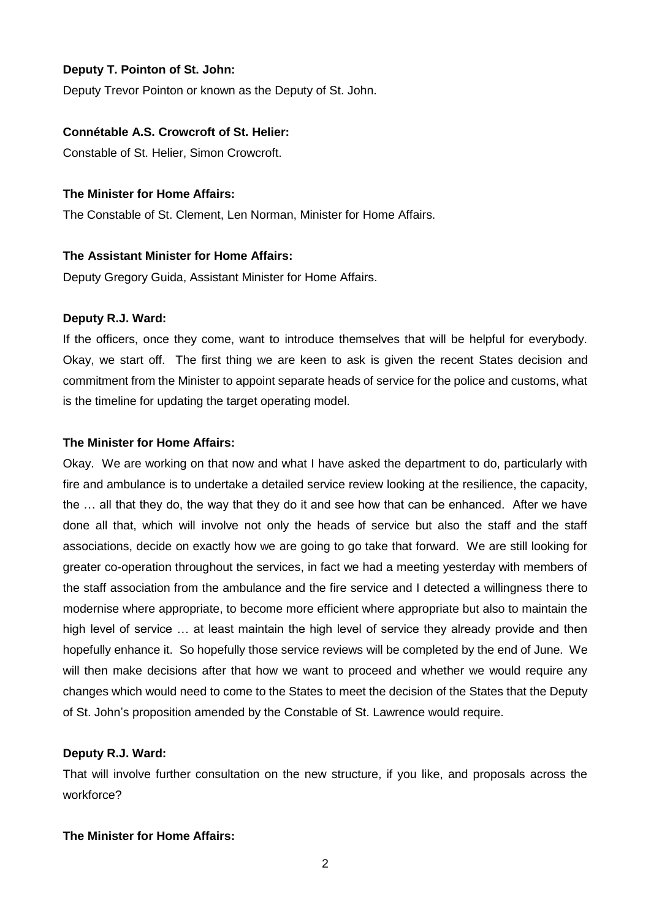### **Deputy T. Pointon of St. John:**

Deputy Trevor Pointon or known as the Deputy of St. John.

### **Connétable A.S. Crowcroft of St. Helier:**

Constable of St. Helier, Simon Crowcroft.

### **The Minister for Home Affairs:**

The Constable of St. Clement, Len Norman, Minister for Home Affairs.

### **The Assistant Minister for Home Affairs:**

Deputy Gregory Guida, Assistant Minister for Home Affairs.

### **Deputy R.J. Ward:**

If the officers, once they come, want to introduce themselves that will be helpful for everybody. Okay, we start off. The first thing we are keen to ask is given the recent States decision and commitment from the Minister to appoint separate heads of service for the police and customs, what is the timeline for updating the target operating model.

### **The Minister for Home Affairs:**

Okay. We are working on that now and what I have asked the department to do, particularly with fire and ambulance is to undertake a detailed service review looking at the resilience, the capacity, the … all that they do, the way that they do it and see how that can be enhanced. After we have done all that, which will involve not only the heads of service but also the staff and the staff associations, decide on exactly how we are going to go take that forward. We are still looking for greater co-operation throughout the services, in fact we had a meeting yesterday with members of the staff association from the ambulance and the fire service and I detected a willingness there to modernise where appropriate, to become more efficient where appropriate but also to maintain the high level of service … at least maintain the high level of service they already provide and then hopefully enhance it. So hopefully those service reviews will be completed by the end of June. We will then make decisions after that how we want to proceed and whether we would require any changes which would need to come to the States to meet the decision of the States that the Deputy of St. John's proposition amended by the Constable of St. Lawrence would require.

### **Deputy R.J. Ward:**

That will involve further consultation on the new structure, if you like, and proposals across the workforce?

### **The Minister for Home Affairs:**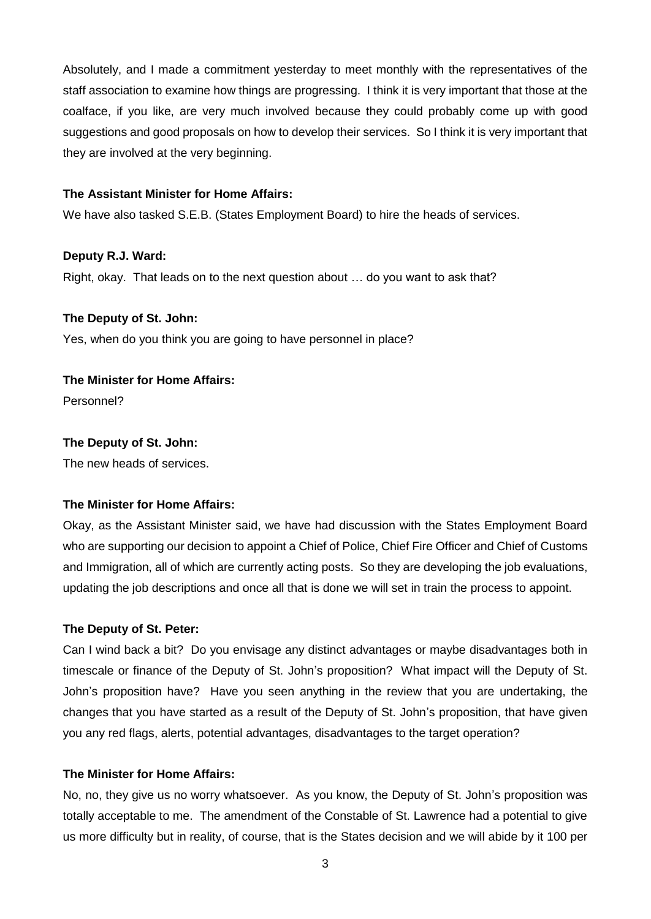Absolutely, and I made a commitment yesterday to meet monthly with the representatives of the staff association to examine how things are progressing. I think it is very important that those at the coalface, if you like, are very much involved because they could probably come up with good suggestions and good proposals on how to develop their services. So I think it is very important that they are involved at the very beginning.

#### **The Assistant Minister for Home Affairs:**

We have also tasked S.E.B. (States Employment Board) to hire the heads of services.

### **Deputy R.J. Ward:**

Right, okay. That leads on to the next question about … do you want to ask that?

### **The Deputy of St. John:**

Yes, when do you think you are going to have personnel in place?

### **The Minister for Home Affairs:**

Personnel?

### **The Deputy of St. John:**

The new heads of services.

### **The Minister for Home Affairs:**

Okay, as the Assistant Minister said, we have had discussion with the States Employment Board who are supporting our decision to appoint a Chief of Police, Chief Fire Officer and Chief of Customs and Immigration, all of which are currently acting posts. So they are developing the job evaluations, updating the job descriptions and once all that is done we will set in train the process to appoint.

### **The Deputy of St. Peter:**

Can I wind back a bit? Do you envisage any distinct advantages or maybe disadvantages both in timescale or finance of the Deputy of St. John's proposition? What impact will the Deputy of St. John's proposition have? Have you seen anything in the review that you are undertaking, the changes that you have started as a result of the Deputy of St. John's proposition, that have given you any red flags, alerts, potential advantages, disadvantages to the target operation?

### **The Minister for Home Affairs:**

No, no, they give us no worry whatsoever. As you know, the Deputy of St. John's proposition was totally acceptable to me. The amendment of the Constable of St. Lawrence had a potential to give us more difficulty but in reality, of course, that is the States decision and we will abide by it 100 per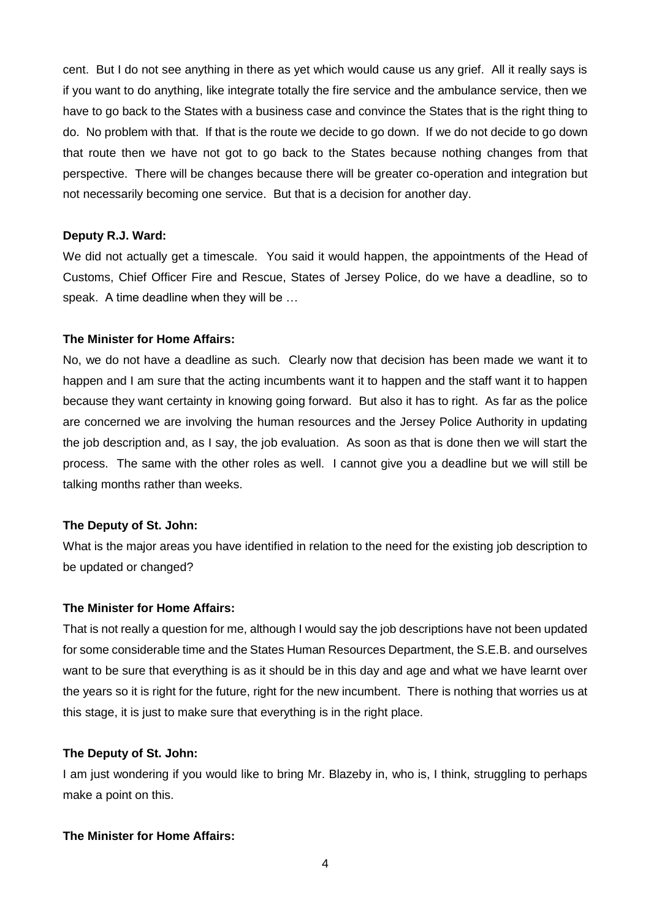cent. But I do not see anything in there as yet which would cause us any grief. All it really says is if you want to do anything, like integrate totally the fire service and the ambulance service, then we have to go back to the States with a business case and convince the States that is the right thing to do. No problem with that. If that is the route we decide to go down. If we do not decide to go down that route then we have not got to go back to the States because nothing changes from that perspective. There will be changes because there will be greater co-operation and integration but not necessarily becoming one service. But that is a decision for another day.

#### **Deputy R.J. Ward:**

We did not actually get a timescale. You said it would happen, the appointments of the Head of Customs, Chief Officer Fire and Rescue, States of Jersey Police, do we have a deadline, so to speak. A time deadline when they will be …

#### **The Minister for Home Affairs:**

No, we do not have a deadline as such. Clearly now that decision has been made we want it to happen and I am sure that the acting incumbents want it to happen and the staff want it to happen because they want certainty in knowing going forward. But also it has to right. As far as the police are concerned we are involving the human resources and the Jersey Police Authority in updating the job description and, as I say, the job evaluation. As soon as that is done then we will start the process. The same with the other roles as well. I cannot give you a deadline but we will still be talking months rather than weeks.

#### **The Deputy of St. John:**

What is the major areas you have identified in relation to the need for the existing job description to be updated or changed?

#### **The Minister for Home Affairs:**

That is not really a question for me, although I would say the job descriptions have not been updated for some considerable time and the States Human Resources Department, the S.E.B. and ourselves want to be sure that everything is as it should be in this day and age and what we have learnt over the years so it is right for the future, right for the new incumbent. There is nothing that worries us at this stage, it is just to make sure that everything is in the right place.

#### **The Deputy of St. John:**

I am just wondering if you would like to bring Mr. Blazeby in, who is, I think, struggling to perhaps make a point on this.

### **The Minister for Home Affairs:**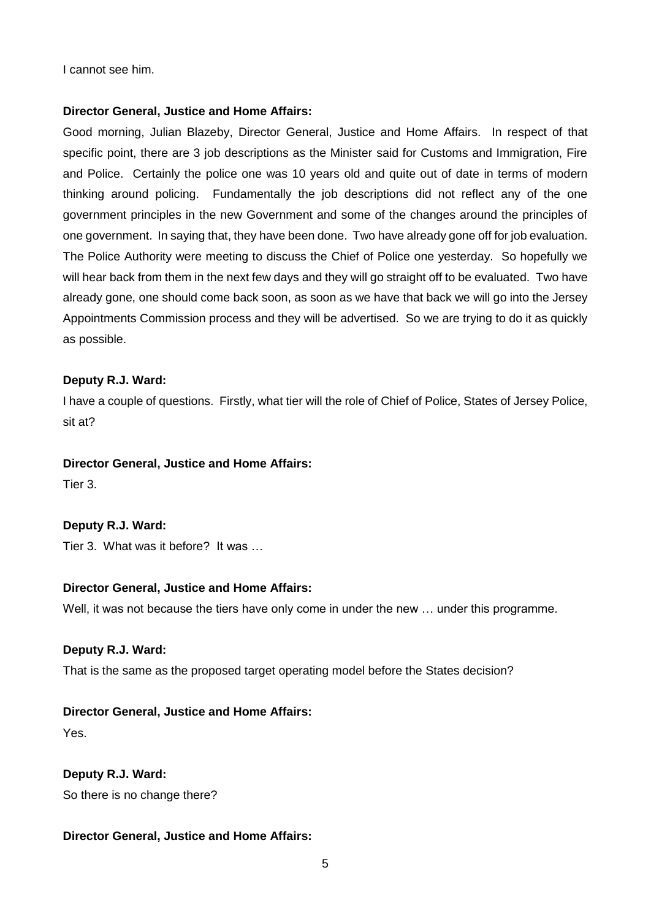I cannot see him.

### **Director General, Justice and Home Affairs:**

Good morning, Julian Blazeby, Director General, Justice and Home Affairs. In respect of that specific point, there are 3 job descriptions as the Minister said for Customs and Immigration, Fire and Police. Certainly the police one was 10 years old and quite out of date in terms of modern thinking around policing. Fundamentally the job descriptions did not reflect any of the one government principles in the new Government and some of the changes around the principles of one government. In saying that, they have been done. Two have already gone off for job evaluation. The Police Authority were meeting to discuss the Chief of Police one yesterday. So hopefully we will hear back from them in the next few days and they will go straight off to be evaluated. Two have already gone, one should come back soon, as soon as we have that back we will go into the Jersey Appointments Commission process and they will be advertised. So we are trying to do it as quickly as possible.

### **Deputy R.J. Ward:**

I have a couple of questions. Firstly, what tier will the role of Chief of Police, States of Jersey Police, sit at?

#### **Director General, Justice and Home Affairs:**

Tier 3.

### **Deputy R.J. Ward:**

Tier 3. What was it before? It was …

### **Director General, Justice and Home Affairs:**

Well, it was not because the tiers have only come in under the new ... under this programme.

### **Deputy R.J. Ward:**

That is the same as the proposed target operating model before the States decision?

### **Director General, Justice and Home Affairs:**

Yes.

**Deputy R.J. Ward:** So there is no change there?

### **Director General, Justice and Home Affairs:**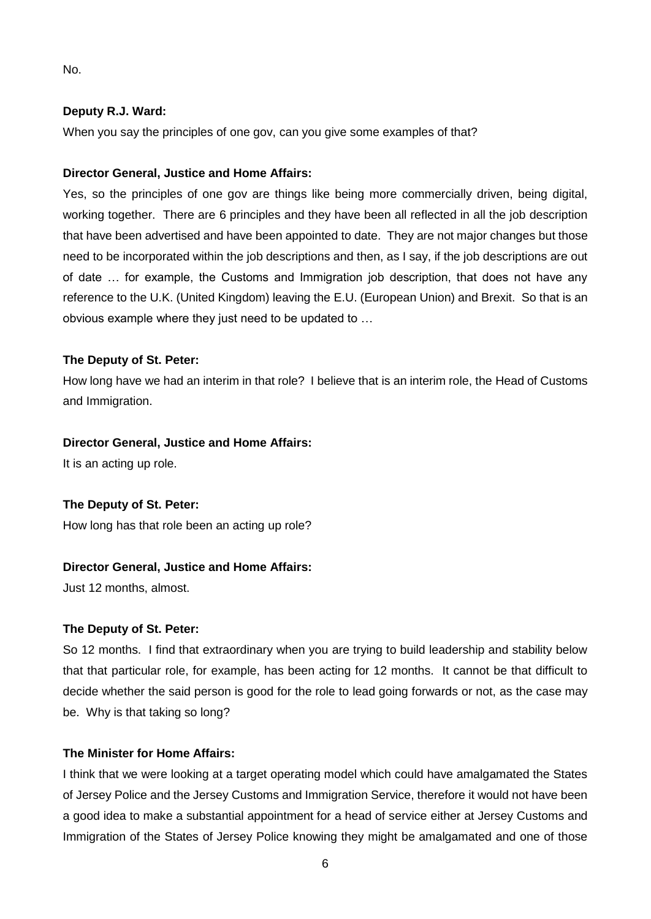No.

### **Deputy R.J. Ward:**

When you say the principles of one gov, can you give some examples of that?

### **Director General, Justice and Home Affairs:**

Yes, so the principles of one gov are things like being more commercially driven, being digital, working together. There are 6 principles and they have been all reflected in all the job description that have been advertised and have been appointed to date. They are not major changes but those need to be incorporated within the job descriptions and then, as I say, if the job descriptions are out of date … for example, the Customs and Immigration job description, that does not have any reference to the U.K. (United Kingdom) leaving the E.U. (European Union) and Brexit. So that is an obvious example where they just need to be updated to …

### **The Deputy of St. Peter:**

How long have we had an interim in that role? I believe that is an interim role, the Head of Customs and Immigration.

#### **Director General, Justice and Home Affairs:**

It is an acting up role.

### **The Deputy of St. Peter:**

How long has that role been an acting up role?

### **Director General, Justice and Home Affairs:**

Just 12 months, almost.

#### **The Deputy of St. Peter:**

So 12 months. I find that extraordinary when you are trying to build leadership and stability below that that particular role, for example, has been acting for 12 months. It cannot be that difficult to decide whether the said person is good for the role to lead going forwards or not, as the case may be. Why is that taking so long?

### **The Minister for Home Affairs:**

I think that we were looking at a target operating model which could have amalgamated the States of Jersey Police and the Jersey Customs and Immigration Service, therefore it would not have been a good idea to make a substantial appointment for a head of service either at Jersey Customs and Immigration of the States of Jersey Police knowing they might be amalgamated and one of those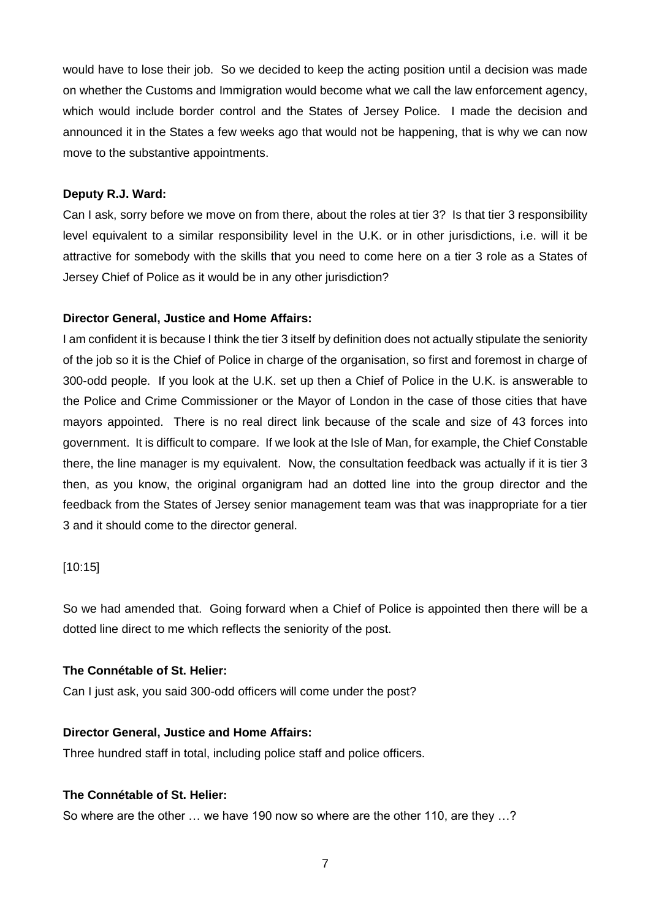would have to lose their job. So we decided to keep the acting position until a decision was made on whether the Customs and Immigration would become what we call the law enforcement agency, which would include border control and the States of Jersey Police. I made the decision and announced it in the States a few weeks ago that would not be happening, that is why we can now move to the substantive appointments.

### **Deputy R.J. Ward:**

Can I ask, sorry before we move on from there, about the roles at tier 3? Is that tier 3 responsibility level equivalent to a similar responsibility level in the U.K. or in other jurisdictions, i.e. will it be attractive for somebody with the skills that you need to come here on a tier 3 role as a States of Jersey Chief of Police as it would be in any other jurisdiction?

# **Director General, Justice and Home Affairs:**

I am confident it is because I think the tier 3 itself by definition does not actually stipulate the seniority of the job so it is the Chief of Police in charge of the organisation, so first and foremost in charge of 300-odd people. If you look at the U.K. set up then a Chief of Police in the U.K. is answerable to the Police and Crime Commissioner or the Mayor of London in the case of those cities that have mayors appointed. There is no real direct link because of the scale and size of 43 forces into government. It is difficult to compare. If we look at the Isle of Man, for example, the Chief Constable there, the line manager is my equivalent. Now, the consultation feedback was actually if it is tier 3 then, as you know, the original organigram had an dotted line into the group director and the feedback from the States of Jersey senior management team was that was inappropriate for a tier 3 and it should come to the director general.

### [10:15]

So we had amended that. Going forward when a Chief of Police is appointed then there will be a dotted line direct to me which reflects the seniority of the post.

### **The Connétable of St. Helier:**

Can I just ask, you said 300-odd officers will come under the post?

### **Director General, Justice and Home Affairs:**

Three hundred staff in total, including police staff and police officers.

# **The Connétable of St. Helier:**

So where are the other … we have 190 now so where are the other 110, are they …?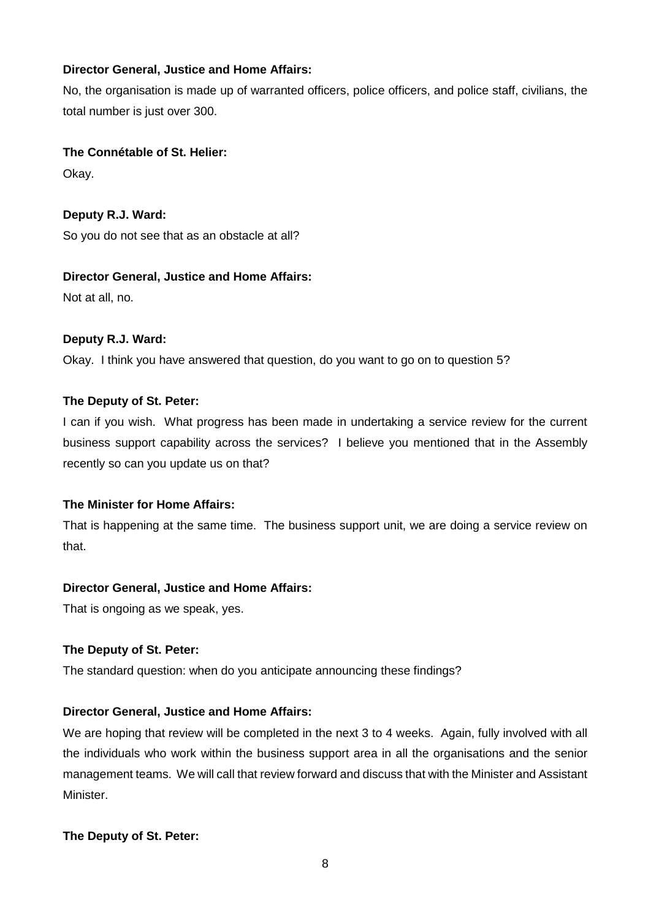# **Director General, Justice and Home Affairs:**

No, the organisation is made up of warranted officers, police officers, and police staff, civilians, the total number is just over 300.

### **The Connétable of St. Helier:**

Okay.

**Deputy R.J. Ward:** So you do not see that as an obstacle at all?

# **Director General, Justice and Home Affairs:**

Not at all, no.

# **Deputy R.J. Ward:**

Okay. I think you have answered that question, do you want to go on to question 5?

# **The Deputy of St. Peter:**

I can if you wish. What progress has been made in undertaking a service review for the current business support capability across the services? I believe you mentioned that in the Assembly recently so can you update us on that?

# **The Minister for Home Affairs:**

That is happening at the same time. The business support unit, we are doing a service review on that.

### **Director General, Justice and Home Affairs:**

That is ongoing as we speak, yes.

# **The Deputy of St. Peter:**

The standard question: when do you anticipate announcing these findings?

# **Director General, Justice and Home Affairs:**

We are hoping that review will be completed in the next 3 to 4 weeks. Again, fully involved with all the individuals who work within the business support area in all the organisations and the senior management teams. We will call that review forward and discuss that with the Minister and Assistant Minister.

# **The Deputy of St. Peter:**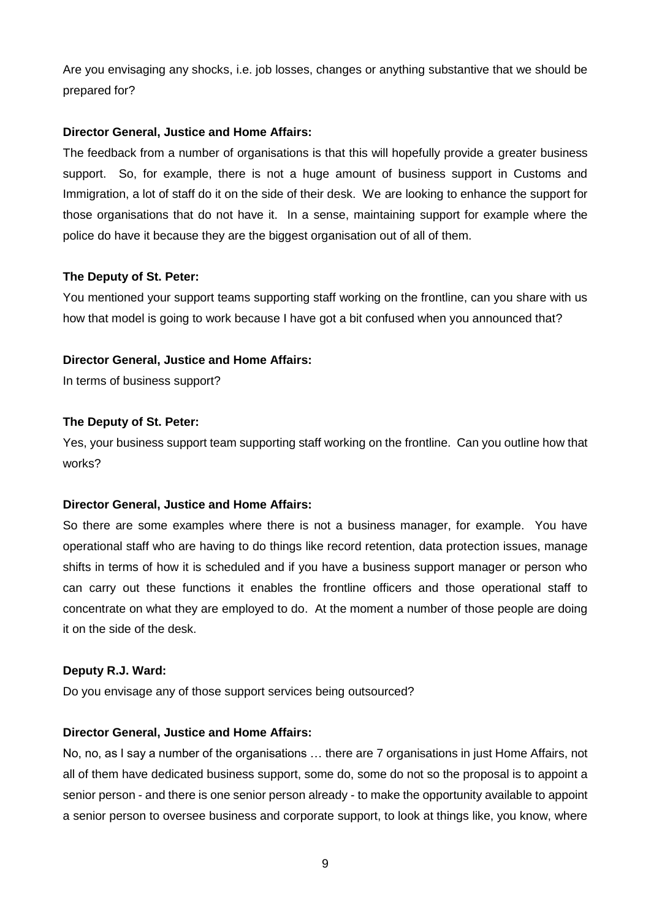Are you envisaging any shocks, i.e. job losses, changes or anything substantive that we should be prepared for?

### **Director General, Justice and Home Affairs:**

The feedback from a number of organisations is that this will hopefully provide a greater business support. So, for example, there is not a huge amount of business support in Customs and Immigration, a lot of staff do it on the side of their desk. We are looking to enhance the support for those organisations that do not have it. In a sense, maintaining support for example where the police do have it because they are the biggest organisation out of all of them.

### **The Deputy of St. Peter:**

You mentioned your support teams supporting staff working on the frontline, can you share with us how that model is going to work because I have got a bit confused when you announced that?

### **Director General, Justice and Home Affairs:**

In terms of business support?

### **The Deputy of St. Peter:**

Yes, your business support team supporting staff working on the frontline. Can you outline how that works?

### **Director General, Justice and Home Affairs:**

So there are some examples where there is not a business manager, for example. You have operational staff who are having to do things like record retention, data protection issues, manage shifts in terms of how it is scheduled and if you have a business support manager or person who can carry out these functions it enables the frontline officers and those operational staff to concentrate on what they are employed to do. At the moment a number of those people are doing it on the side of the desk.

#### **Deputy R.J. Ward:**

Do you envisage any of those support services being outsourced?

### **Director General, Justice and Home Affairs:**

No, no, as I say a number of the organisations … there are 7 organisations in just Home Affairs, not all of them have dedicated business support, some do, some do not so the proposal is to appoint a senior person - and there is one senior person already - to make the opportunity available to appoint a senior person to oversee business and corporate support, to look at things like, you know, where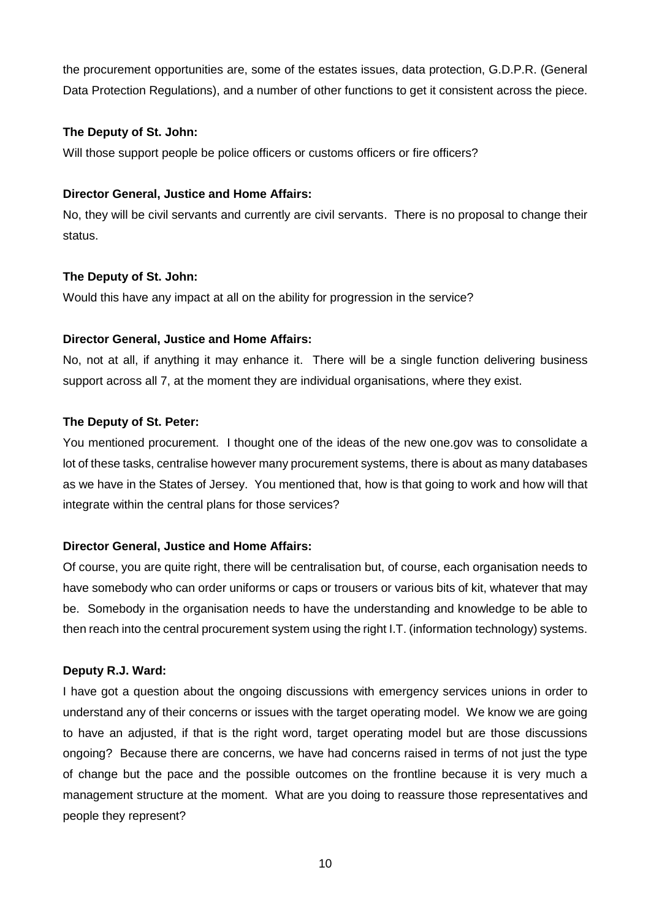the procurement opportunities are, some of the estates issues, data protection, G.D.P.R. (General Data Protection Regulations), and a number of other functions to get it consistent across the piece.

### **The Deputy of St. John:**

Will those support people be police officers or customs officers or fire officers?

### **Director General, Justice and Home Affairs:**

No, they will be civil servants and currently are civil servants. There is no proposal to change their status.

### **The Deputy of St. John:**

Would this have any impact at all on the ability for progression in the service?

### **Director General, Justice and Home Affairs:**

No, not at all, if anything it may enhance it. There will be a single function delivering business support across all 7, at the moment they are individual organisations, where they exist.

### **The Deputy of St. Peter:**

You mentioned procurement. I thought one of the ideas of the new one.gov was to consolidate a lot of these tasks, centralise however many procurement systems, there is about as many databases as we have in the States of Jersey. You mentioned that, how is that going to work and how will that integrate within the central plans for those services?

### **Director General, Justice and Home Affairs:**

Of course, you are quite right, there will be centralisation but, of course, each organisation needs to have somebody who can order uniforms or caps or trousers or various bits of kit, whatever that may be. Somebody in the organisation needs to have the understanding and knowledge to be able to then reach into the central procurement system using the right I.T. (information technology) systems.

### **Deputy R.J. Ward:**

I have got a question about the ongoing discussions with emergency services unions in order to understand any of their concerns or issues with the target operating model. We know we are going to have an adjusted, if that is the right word, target operating model but are those discussions ongoing? Because there are concerns, we have had concerns raised in terms of not just the type of change but the pace and the possible outcomes on the frontline because it is very much a management structure at the moment. What are you doing to reassure those representatives and people they represent?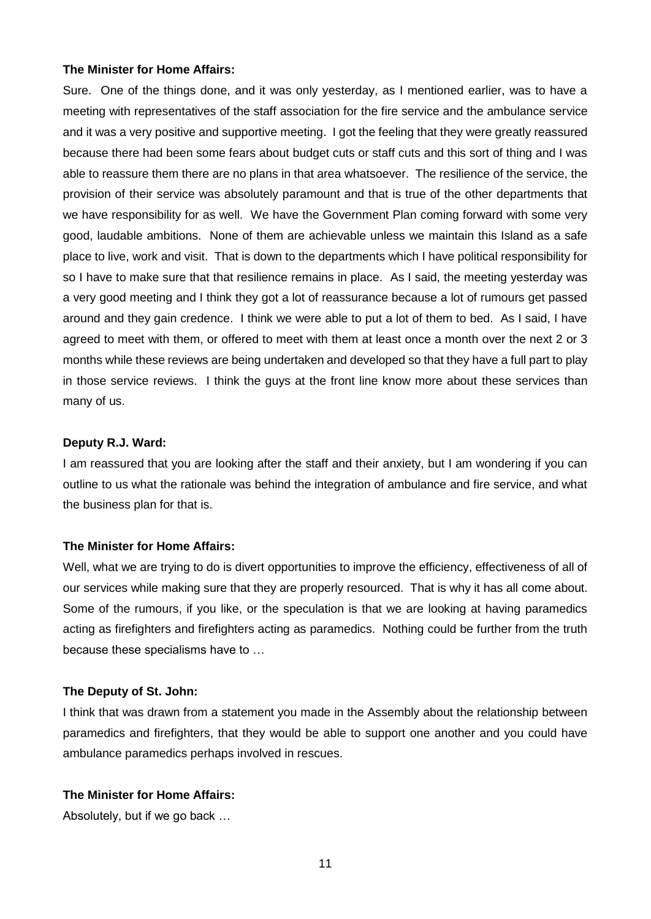#### **The Minister for Home Affairs:**

Sure. One of the things done, and it was only yesterday, as I mentioned earlier, was to have a meeting with representatives of the staff association for the fire service and the ambulance service and it was a very positive and supportive meeting. I got the feeling that they were greatly reassured because there had been some fears about budget cuts or staff cuts and this sort of thing and I was able to reassure them there are no plans in that area whatsoever. The resilience of the service, the provision of their service was absolutely paramount and that is true of the other departments that we have responsibility for as well. We have the Government Plan coming forward with some very good, laudable ambitions. None of them are achievable unless we maintain this Island as a safe place to live, work and visit. That is down to the departments which I have political responsibility for so I have to make sure that that resilience remains in place. As I said, the meeting yesterday was a very good meeting and I think they got a lot of reassurance because a lot of rumours get passed around and they gain credence. I think we were able to put a lot of them to bed. As I said, I have agreed to meet with them, or offered to meet with them at least once a month over the next 2 or 3 months while these reviews are being undertaken and developed so that they have a full part to play in those service reviews. I think the guys at the front line know more about these services than many of us.

#### **Deputy R.J. Ward:**

I am reassured that you are looking after the staff and their anxiety, but I am wondering if you can outline to us what the rationale was behind the integration of ambulance and fire service, and what the business plan for that is.

### **The Minister for Home Affairs:**

Well, what we are trying to do is divert opportunities to improve the efficiency, effectiveness of all of our services while making sure that they are properly resourced. That is why it has all come about. Some of the rumours, if you like, or the speculation is that we are looking at having paramedics acting as firefighters and firefighters acting as paramedics. Nothing could be further from the truth because these specialisms have to …

### **The Deputy of St. John:**

I think that was drawn from a statement you made in the Assembly about the relationship between paramedics and firefighters, that they would be able to support one another and you could have ambulance paramedics perhaps involved in rescues.

### **The Minister for Home Affairs:**

Absolutely, but if we go back …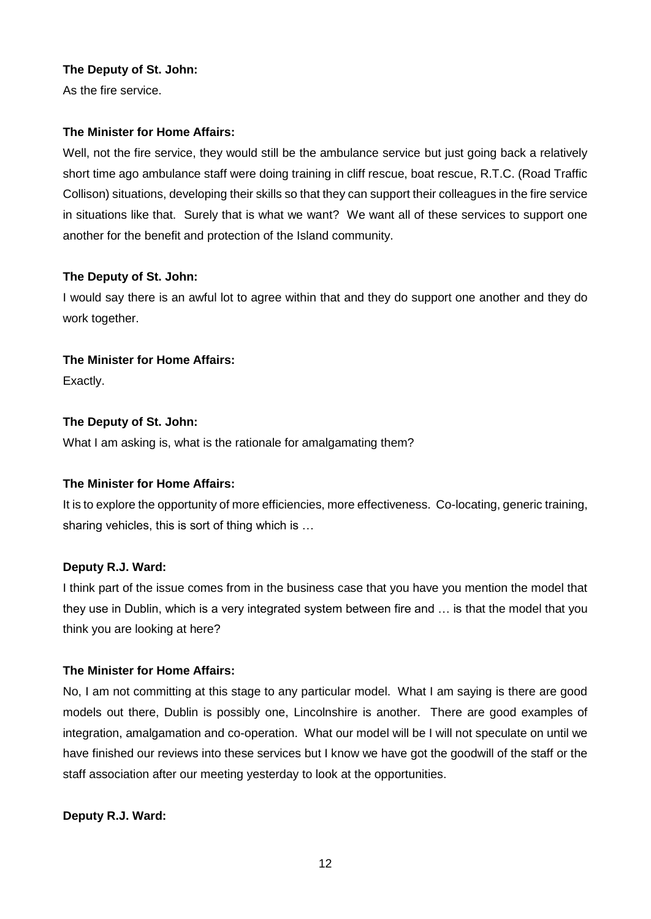# **The Deputy of St. John:**

As the fire service.

# **The Minister for Home Affairs:**

Well, not the fire service, they would still be the ambulance service but just going back a relatively short time ago ambulance staff were doing training in cliff rescue, boat rescue, R.T.C. (Road Traffic Collison) situations, developing their skills so that they can support their colleagues in the fire service in situations like that. Surely that is what we want? We want all of these services to support one another for the benefit and protection of the Island community.

# **The Deputy of St. John:**

I would say there is an awful lot to agree within that and they do support one another and they do work together.

# **The Minister for Home Affairs:**

Exactly.

# **The Deputy of St. John:**

What I am asking is, what is the rationale for amalgamating them?

# **The Minister for Home Affairs:**

It is to explore the opportunity of more efficiencies, more effectiveness. Co-locating, generic training, sharing vehicles, this is sort of thing which is …

### **Deputy R.J. Ward:**

I think part of the issue comes from in the business case that you have you mention the model that they use in Dublin, which is a very integrated system between fire and … is that the model that you think you are looking at here?

# **The Minister for Home Affairs:**

No, I am not committing at this stage to any particular model. What I am saying is there are good models out there, Dublin is possibly one, Lincolnshire is another. There are good examples of integration, amalgamation and co-operation. What our model will be I will not speculate on until we have finished our reviews into these services but I know we have got the goodwill of the staff or the staff association after our meeting yesterday to look at the opportunities.

### **Deputy R.J. Ward:**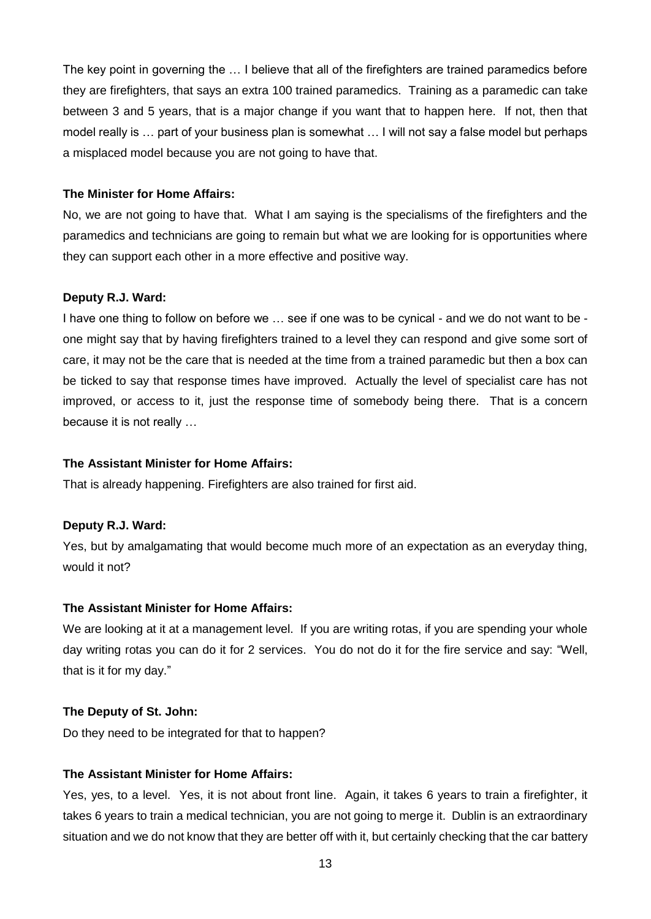The key point in governing the … I believe that all of the firefighters are trained paramedics before they are firefighters, that says an extra 100 trained paramedics. Training as a paramedic can take between 3 and 5 years, that is a major change if you want that to happen here. If not, then that model really is … part of your business plan is somewhat … I will not say a false model but perhaps a misplaced model because you are not going to have that.

### **The Minister for Home Affairs:**

No, we are not going to have that. What I am saying is the specialisms of the firefighters and the paramedics and technicians are going to remain but what we are looking for is opportunities where they can support each other in a more effective and positive way.

### **Deputy R.J. Ward:**

I have one thing to follow on before we … see if one was to be cynical - and we do not want to be one might say that by having firefighters trained to a level they can respond and give some sort of care, it may not be the care that is needed at the time from a trained paramedic but then a box can be ticked to say that response times have improved. Actually the level of specialist care has not improved, or access to it, just the response time of somebody being there. That is a concern because it is not really …

### **The Assistant Minister for Home Affairs:**

That is already happening. Firefighters are also trained for first aid.

### **Deputy R.J. Ward:**

Yes, but by amalgamating that would become much more of an expectation as an everyday thing, would it not?

#### **The Assistant Minister for Home Affairs:**

We are looking at it at a management level. If you are writing rotas, if you are spending your whole day writing rotas you can do it for 2 services. You do not do it for the fire service and say: "Well, that is it for my day."

#### **The Deputy of St. John:**

Do they need to be integrated for that to happen?

### **The Assistant Minister for Home Affairs:**

Yes, yes, to a level. Yes, it is not about front line. Again, it takes 6 years to train a firefighter, it takes 6 years to train a medical technician, you are not going to merge it. Dublin is an extraordinary situation and we do not know that they are better off with it, but certainly checking that the car battery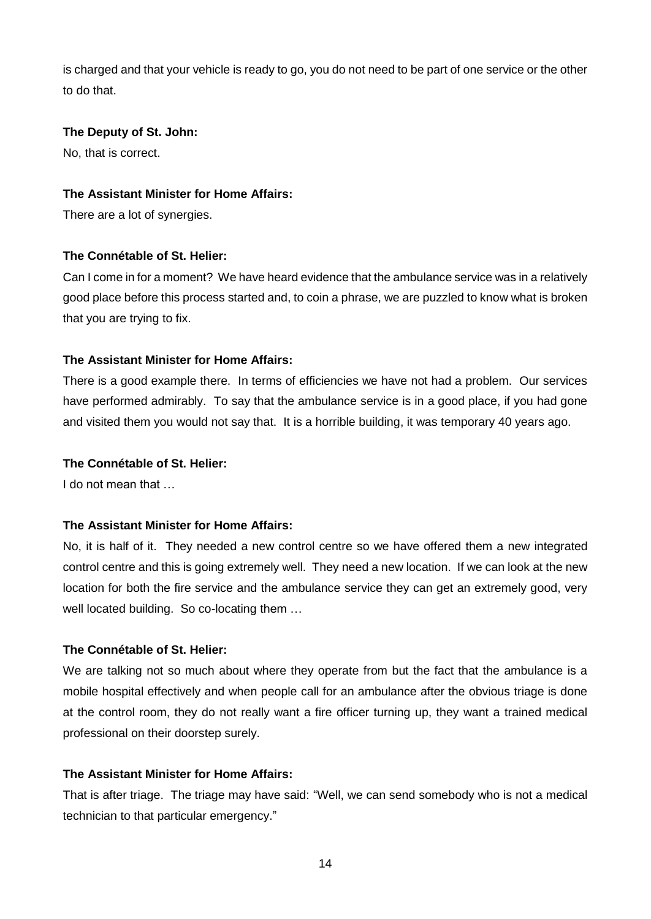is charged and that your vehicle is ready to go, you do not need to be part of one service or the other to do that.

### **The Deputy of St. John:**

No, that is correct.

### **The Assistant Minister for Home Affairs:**

There are a lot of synergies.

### **The Connétable of St. Helier:**

Can I come in for a moment? We have heard evidence that the ambulance service was in a relatively good place before this process started and, to coin a phrase, we are puzzled to know what is broken that you are trying to fix.

### **The Assistant Minister for Home Affairs:**

There is a good example there. In terms of efficiencies we have not had a problem. Our services have performed admirably. To say that the ambulance service is in a good place, if you had gone and visited them you would not say that. It is a horrible building, it was temporary 40 years ago.

#### **The Connétable of St. Helier:**

I do not mean that …

### **The Assistant Minister for Home Affairs:**

No, it is half of it. They needed a new control centre so we have offered them a new integrated control centre and this is going extremely well. They need a new location. If we can look at the new location for both the fire service and the ambulance service they can get an extremely good, very well located building. So co-locating them …

#### **The Connétable of St. Helier:**

We are talking not so much about where they operate from but the fact that the ambulance is a mobile hospital effectively and when people call for an ambulance after the obvious triage is done at the control room, they do not really want a fire officer turning up, they want a trained medical professional on their doorstep surely.

### **The Assistant Minister for Home Affairs:**

That is after triage. The triage may have said: "Well, we can send somebody who is not a medical technician to that particular emergency."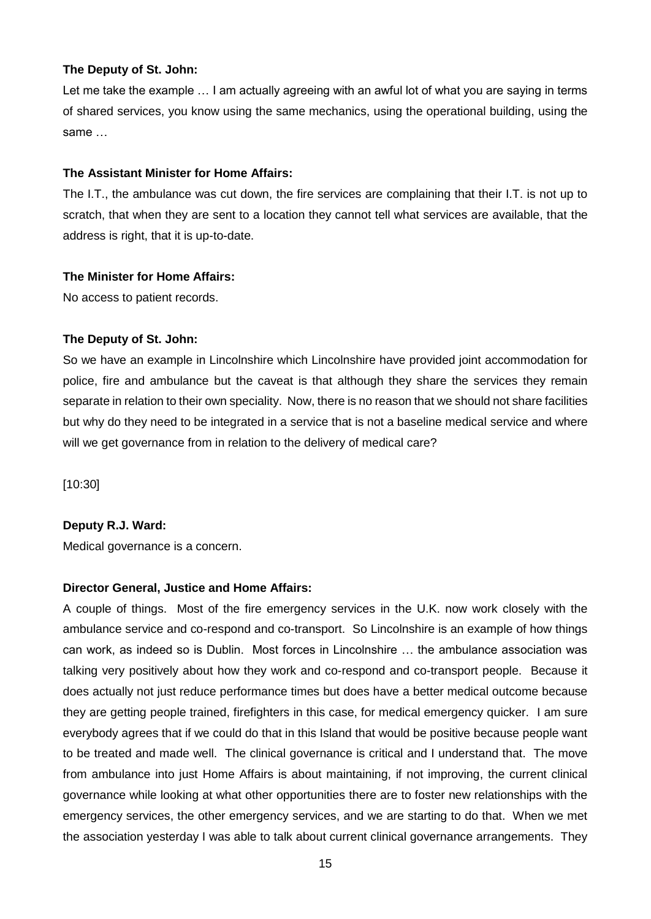#### **The Deputy of St. John:**

Let me take the example … I am actually agreeing with an awful lot of what you are saying in terms of shared services, you know using the same mechanics, using the operational building, using the same …

### **The Assistant Minister for Home Affairs:**

The I.T., the ambulance was cut down, the fire services are complaining that their I.T. is not up to scratch, that when they are sent to a location they cannot tell what services are available, that the address is right, that it is up-to-date.

### **The Minister for Home Affairs:**

No access to patient records.

### **The Deputy of St. John:**

So we have an example in Lincolnshire which Lincolnshire have provided joint accommodation for police, fire and ambulance but the caveat is that although they share the services they remain separate in relation to their own speciality. Now, there is no reason that we should not share facilities but why do they need to be integrated in a service that is not a baseline medical service and where will we get governance from in relation to the delivery of medical care?

[10:30]

### **Deputy R.J. Ward:**

Medical governance is a concern.

### **Director General, Justice and Home Affairs:**

A couple of things. Most of the fire emergency services in the U.K. now work closely with the ambulance service and co-respond and co-transport. So Lincolnshire is an example of how things can work, as indeed so is Dublin. Most forces in Lincolnshire … the ambulance association was talking very positively about how they work and co-respond and co-transport people. Because it does actually not just reduce performance times but does have a better medical outcome because they are getting people trained, firefighters in this case, for medical emergency quicker. I am sure everybody agrees that if we could do that in this Island that would be positive because people want to be treated and made well. The clinical governance is critical and I understand that. The move from ambulance into just Home Affairs is about maintaining, if not improving, the current clinical governance while looking at what other opportunities there are to foster new relationships with the emergency services, the other emergency services, and we are starting to do that. When we met the association yesterday I was able to talk about current clinical governance arrangements. They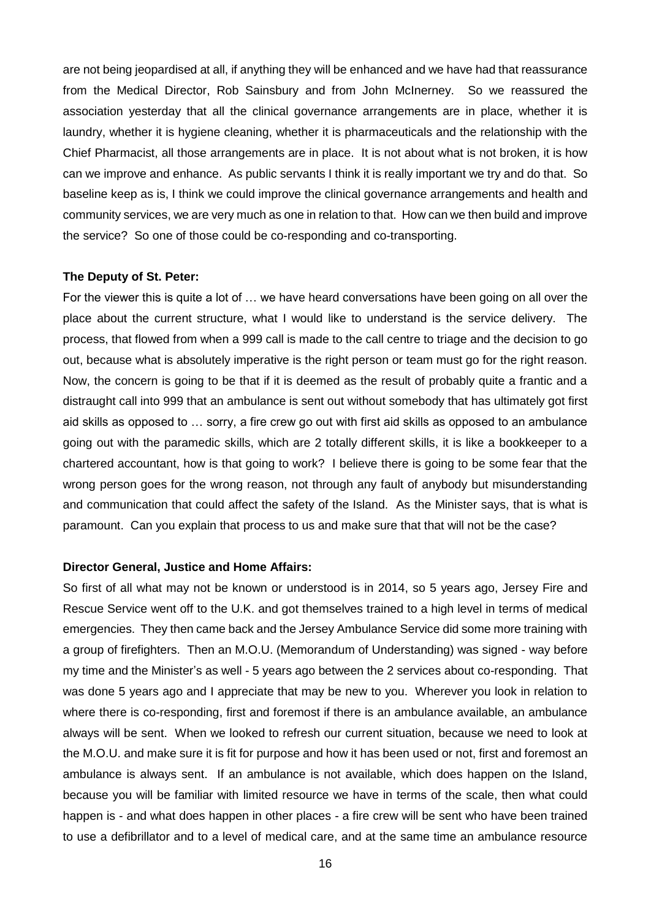are not being jeopardised at all, if anything they will be enhanced and we have had that reassurance from the Medical Director, Rob Sainsbury and from John McInerney. So we reassured the association yesterday that all the clinical governance arrangements are in place, whether it is laundry, whether it is hygiene cleaning, whether it is pharmaceuticals and the relationship with the Chief Pharmacist, all those arrangements are in place. It is not about what is not broken, it is how can we improve and enhance. As public servants I think it is really important we try and do that. So baseline keep as is, I think we could improve the clinical governance arrangements and health and community services, we are very much as one in relation to that. How can we then build and improve the service? So one of those could be co-responding and co-transporting.

#### **The Deputy of St. Peter:**

For the viewer this is quite a lot of … we have heard conversations have been going on all over the place about the current structure, what I would like to understand is the service delivery. The process, that flowed from when a 999 call is made to the call centre to triage and the decision to go out, because what is absolutely imperative is the right person or team must go for the right reason. Now, the concern is going to be that if it is deemed as the result of probably quite a frantic and a distraught call into 999 that an ambulance is sent out without somebody that has ultimately got first aid skills as opposed to … sorry, a fire crew go out with first aid skills as opposed to an ambulance going out with the paramedic skills, which are 2 totally different skills, it is like a bookkeeper to a chartered accountant, how is that going to work? I believe there is going to be some fear that the wrong person goes for the wrong reason, not through any fault of anybody but misunderstanding and communication that could affect the safety of the Island. As the Minister says, that is what is paramount. Can you explain that process to us and make sure that that will not be the case?

#### **Director General, Justice and Home Affairs:**

So first of all what may not be known or understood is in 2014, so 5 years ago, Jersey Fire and Rescue Service went off to the U.K. and got themselves trained to a high level in terms of medical emergencies. They then came back and the Jersey Ambulance Service did some more training with a group of firefighters. Then an M.O.U. (Memorandum of Understanding) was signed - way before my time and the Minister's as well - 5 years ago between the 2 services about co-responding. That was done 5 years ago and I appreciate that may be new to you. Wherever you look in relation to where there is co-responding, first and foremost if there is an ambulance available, an ambulance always will be sent. When we looked to refresh our current situation, because we need to look at the M.O.U. and make sure it is fit for purpose and how it has been used or not, first and foremost an ambulance is always sent. If an ambulance is not available, which does happen on the Island, because you will be familiar with limited resource we have in terms of the scale, then what could happen is - and what does happen in other places - a fire crew will be sent who have been trained to use a defibrillator and to a level of medical care, and at the same time an ambulance resource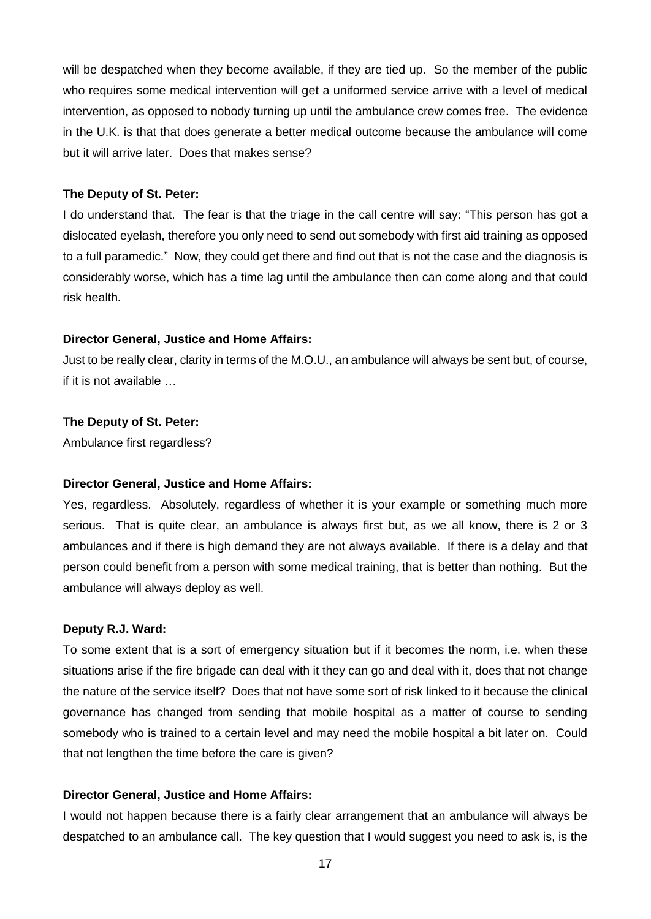will be despatched when they become available, if they are tied up. So the member of the public who requires some medical intervention will get a uniformed service arrive with a level of medical intervention, as opposed to nobody turning up until the ambulance crew comes free. The evidence in the U.K. is that that does generate a better medical outcome because the ambulance will come but it will arrive later. Does that makes sense?

#### **The Deputy of St. Peter:**

I do understand that. The fear is that the triage in the call centre will say: "This person has got a dislocated eyelash, therefore you only need to send out somebody with first aid training as opposed to a full paramedic." Now, they could get there and find out that is not the case and the diagnosis is considerably worse, which has a time lag until the ambulance then can come along and that could risk health.

### **Director General, Justice and Home Affairs:**

Just to be really clear, clarity in terms of the M.O.U., an ambulance will always be sent but, of course, if it is not available

#### **The Deputy of St. Peter:**

Ambulance first regardless?

#### **Director General, Justice and Home Affairs:**

Yes, regardless. Absolutely, regardless of whether it is your example or something much more serious. That is quite clear, an ambulance is always first but, as we all know, there is 2 or 3 ambulances and if there is high demand they are not always available. If there is a delay and that person could benefit from a person with some medical training, that is better than nothing. But the ambulance will always deploy as well.

#### **Deputy R.J. Ward:**

To some extent that is a sort of emergency situation but if it becomes the norm, i.e. when these situations arise if the fire brigade can deal with it they can go and deal with it, does that not change the nature of the service itself? Does that not have some sort of risk linked to it because the clinical governance has changed from sending that mobile hospital as a matter of course to sending somebody who is trained to a certain level and may need the mobile hospital a bit later on. Could that not lengthen the time before the care is given?

#### **Director General, Justice and Home Affairs:**

I would not happen because there is a fairly clear arrangement that an ambulance will always be despatched to an ambulance call. The key question that I would suggest you need to ask is, is the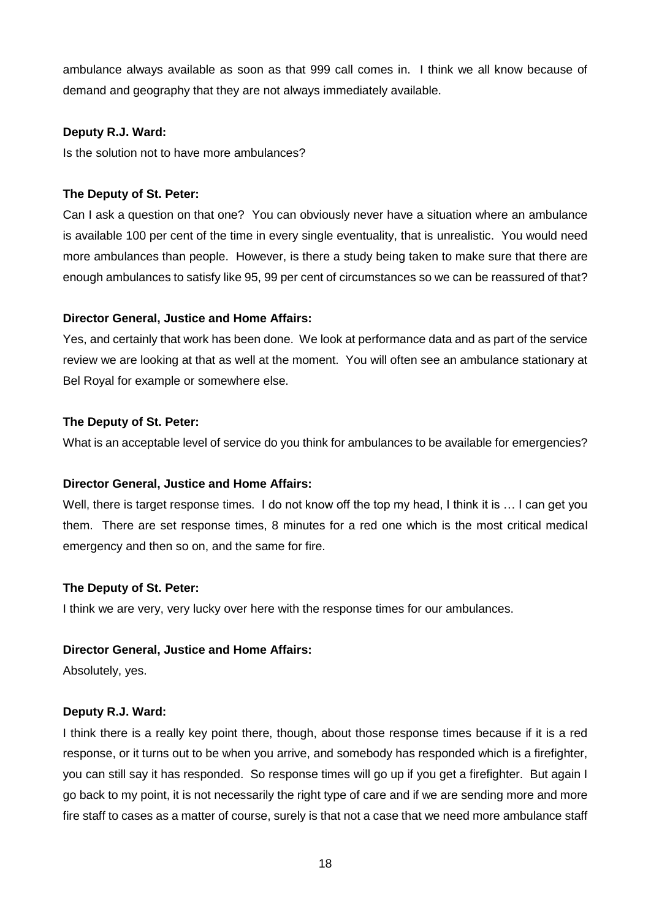ambulance always available as soon as that 999 call comes in. I think we all know because of demand and geography that they are not always immediately available.

### **Deputy R.J. Ward:**

Is the solution not to have more ambulances?

### **The Deputy of St. Peter:**

Can I ask a question on that one? You can obviously never have a situation where an ambulance is available 100 per cent of the time in every single eventuality, that is unrealistic. You would need more ambulances than people. However, is there a study being taken to make sure that there are enough ambulances to satisfy like 95, 99 per cent of circumstances so we can be reassured of that?

### **Director General, Justice and Home Affairs:**

Yes, and certainly that work has been done. We look at performance data and as part of the service review we are looking at that as well at the moment. You will often see an ambulance stationary at Bel Royal for example or somewhere else.

### **The Deputy of St. Peter:**

What is an acceptable level of service do you think for ambulances to be available for emergencies?

#### **Director General, Justice and Home Affairs:**

Well, there is target response times. I do not know off the top my head, I think it is ... I can get you them. There are set response times, 8 minutes for a red one which is the most critical medical emergency and then so on, and the same for fire.

### **The Deputy of St. Peter:**

I think we are very, very lucky over here with the response times for our ambulances.

### **Director General, Justice and Home Affairs:**

Absolutely, yes.

### **Deputy R.J. Ward:**

I think there is a really key point there, though, about those response times because if it is a red response, or it turns out to be when you arrive, and somebody has responded which is a firefighter, you can still say it has responded. So response times will go up if you get a firefighter. But again I go back to my point, it is not necessarily the right type of care and if we are sending more and more fire staff to cases as a matter of course, surely is that not a case that we need more ambulance staff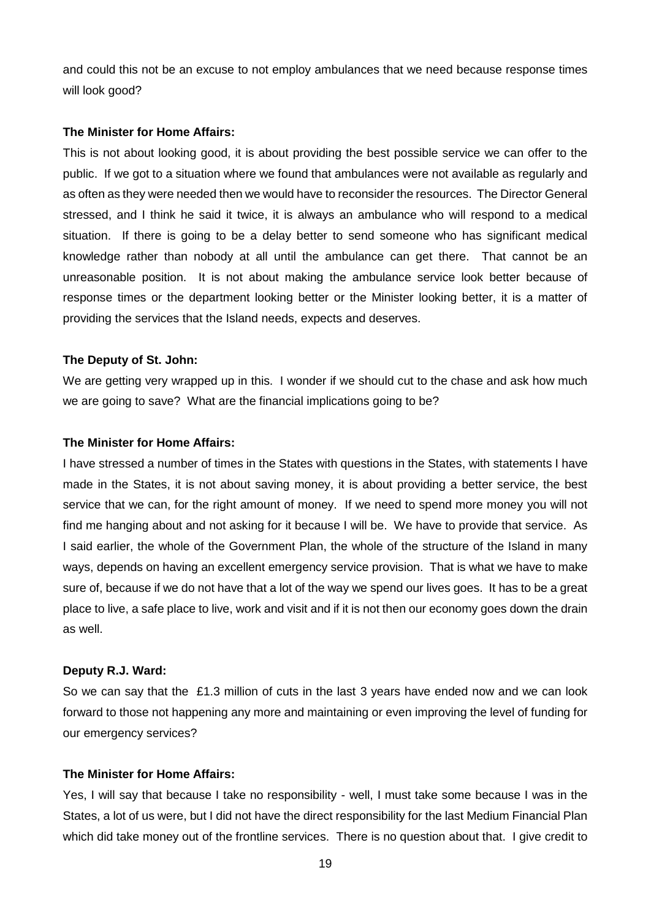and could this not be an excuse to not employ ambulances that we need because response times will look good?

#### **The Minister for Home Affairs:**

This is not about looking good, it is about providing the best possible service we can offer to the public. If we got to a situation where we found that ambulances were not available as regularly and as often as they were needed then we would have to reconsider the resources. The Director General stressed, and I think he said it twice, it is always an ambulance who will respond to a medical situation. If there is going to be a delay better to send someone who has significant medical knowledge rather than nobody at all until the ambulance can get there. That cannot be an unreasonable position. It is not about making the ambulance service look better because of response times or the department looking better or the Minister looking better, it is a matter of providing the services that the Island needs, expects and deserves.

### **The Deputy of St. John:**

We are getting very wrapped up in this. I wonder if we should cut to the chase and ask how much we are going to save? What are the financial implications going to be?

#### **The Minister for Home Affairs:**

I have stressed a number of times in the States with questions in the States, with statements I have made in the States, it is not about saving money, it is about providing a better service, the best service that we can, for the right amount of money. If we need to spend more money you will not find me hanging about and not asking for it because I will be. We have to provide that service. As I said earlier, the whole of the Government Plan, the whole of the structure of the Island in many ways, depends on having an excellent emergency service provision. That is what we have to make sure of, because if we do not have that a lot of the way we spend our lives goes. It has to be a great place to live, a safe place to live, work and visit and if it is not then our economy goes down the drain as well.

### **Deputy R.J. Ward:**

So we can say that the £1.3 million of cuts in the last 3 years have ended now and we can look forward to those not happening any more and maintaining or even improving the level of funding for our emergency services?

### **The Minister for Home Affairs:**

Yes, I will say that because I take no responsibility - well, I must take some because I was in the States, a lot of us were, but I did not have the direct responsibility for the last Medium Financial Plan which did take money out of the frontline services. There is no question about that. I give credit to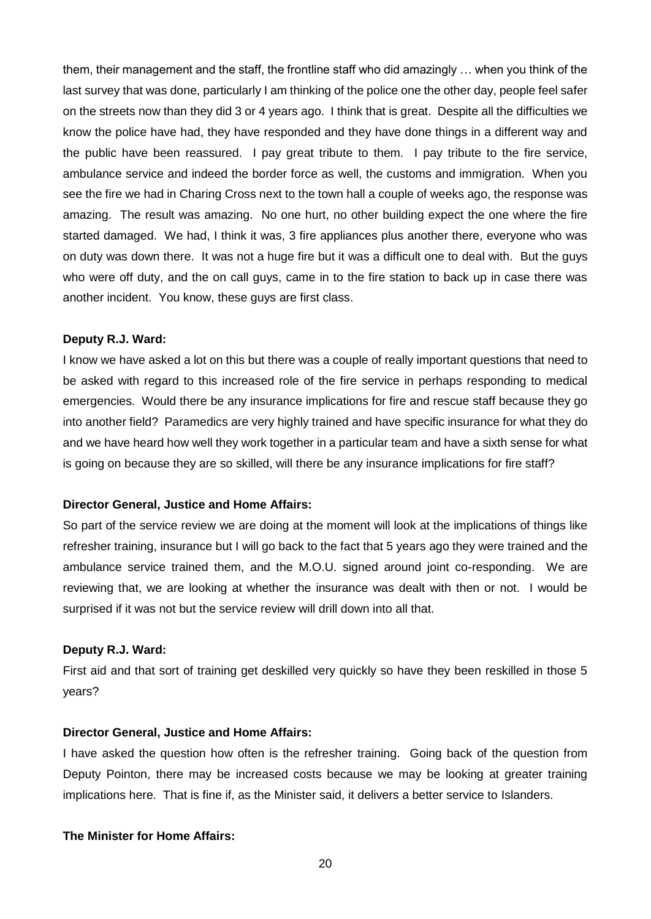them, their management and the staff, the frontline staff who did amazingly … when you think of the last survey that was done, particularly I am thinking of the police one the other day, people feel safer on the streets now than they did 3 or 4 years ago. I think that is great. Despite all the difficulties we know the police have had, they have responded and they have done things in a different way and the public have been reassured. I pay great tribute to them. I pay tribute to the fire service, ambulance service and indeed the border force as well, the customs and immigration. When you see the fire we had in Charing Cross next to the town hall a couple of weeks ago, the response was amazing. The result was amazing. No one hurt, no other building expect the one where the fire started damaged. We had, I think it was, 3 fire appliances plus another there, everyone who was on duty was down there. It was not a huge fire but it was a difficult one to deal with. But the guys who were off duty, and the on call guys, came in to the fire station to back up in case there was another incident. You know, these guys are first class.

#### **Deputy R.J. Ward:**

I know we have asked a lot on this but there was a couple of really important questions that need to be asked with regard to this increased role of the fire service in perhaps responding to medical emergencies. Would there be any insurance implications for fire and rescue staff because they go into another field? Paramedics are very highly trained and have specific insurance for what they do and we have heard how well they work together in a particular team and have a sixth sense for what is going on because they are so skilled, will there be any insurance implications for fire staff?

#### **Director General, Justice and Home Affairs:**

So part of the service review we are doing at the moment will look at the implications of things like refresher training, insurance but I will go back to the fact that 5 years ago they were trained and the ambulance service trained them, and the M.O.U. signed around joint co-responding. We are reviewing that, we are looking at whether the insurance was dealt with then or not. I would be surprised if it was not but the service review will drill down into all that.

#### **Deputy R.J. Ward:**

First aid and that sort of training get deskilled very quickly so have they been reskilled in those 5 years?

#### **Director General, Justice and Home Affairs:**

I have asked the question how often is the refresher training. Going back of the question from Deputy Pointon, there may be increased costs because we may be looking at greater training implications here. That is fine if, as the Minister said, it delivers a better service to Islanders.

#### **The Minister for Home Affairs:**

20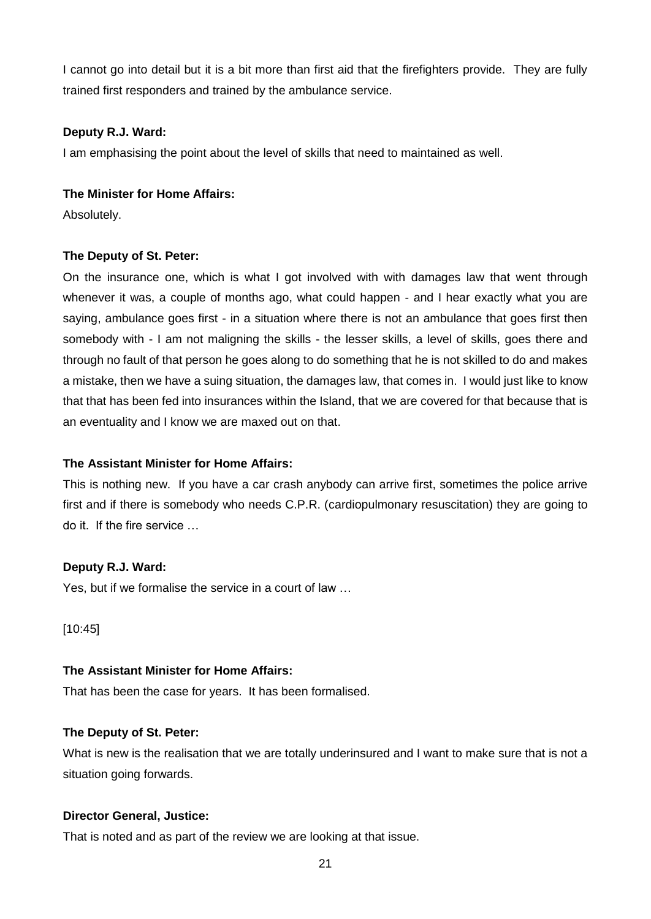I cannot go into detail but it is a bit more than first aid that the firefighters provide. They are fully trained first responders and trained by the ambulance service.

### **Deputy R.J. Ward:**

I am emphasising the point about the level of skills that need to maintained as well.

### **The Minister for Home Affairs:**

Absolutely.

# **The Deputy of St. Peter:**

On the insurance one, which is what I got involved with with damages law that went through whenever it was, a couple of months ago, what could happen - and I hear exactly what you are saying, ambulance goes first - in a situation where there is not an ambulance that goes first then somebody with - I am not maligning the skills - the lesser skills, a level of skills, goes there and through no fault of that person he goes along to do something that he is not skilled to do and makes a mistake, then we have a suing situation, the damages law, that comes in. I would just like to know that that has been fed into insurances within the Island, that we are covered for that because that is an eventuality and I know we are maxed out on that.

# **The Assistant Minister for Home Affairs:**

This is nothing new. If you have a car crash anybody can arrive first, sometimes the police arrive first and if there is somebody who needs C.P.R. (cardiopulmonary resuscitation) they are going to do it. If the fire service …

### **Deputy R.J. Ward:**

Yes, but if we formalise the service in a court of law …

[10:45]

### **The Assistant Minister for Home Affairs:**

That has been the case for years. It has been formalised.

# **The Deputy of St. Peter:**

What is new is the realisation that we are totally underinsured and I want to make sure that is not a situation going forwards.

# **Director General, Justice:**

That is noted and as part of the review we are looking at that issue.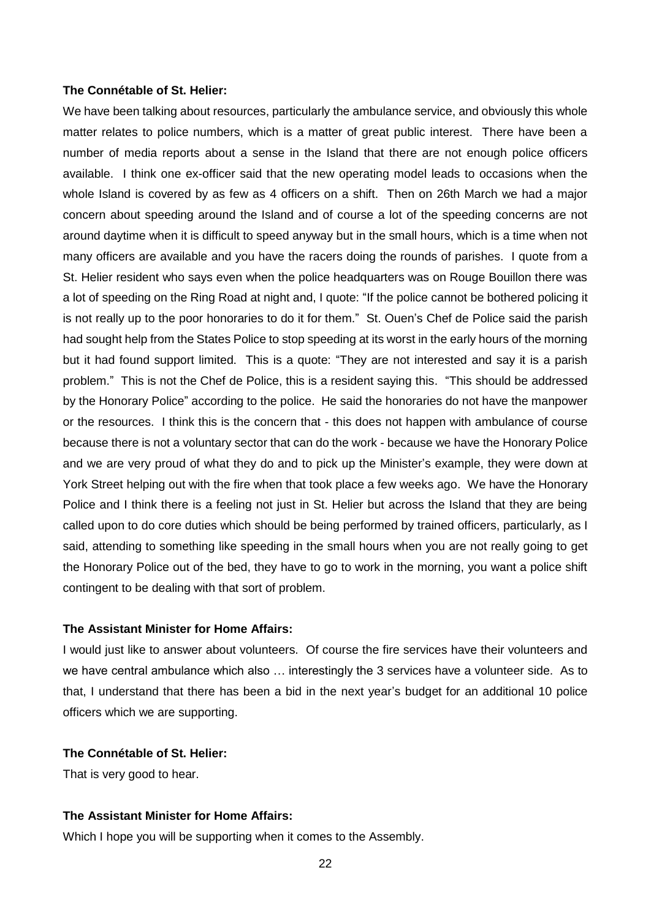#### **The Connétable of St. Helier:**

We have been talking about resources, particularly the ambulance service, and obviously this whole matter relates to police numbers, which is a matter of great public interest. There have been a number of media reports about a sense in the Island that there are not enough police officers available. I think one ex-officer said that the new operating model leads to occasions when the whole Island is covered by as few as 4 officers on a shift. Then on 26th March we had a major concern about speeding around the Island and of course a lot of the speeding concerns are not around daytime when it is difficult to speed anyway but in the small hours, which is a time when not many officers are available and you have the racers doing the rounds of parishes. I quote from a St. Helier resident who says even when the police headquarters was on Rouge Bouillon there was a lot of speeding on the Ring Road at night and, I quote: "If the police cannot be bothered policing it is not really up to the poor honoraries to do it for them." St. Ouen's Chef de Police said the parish had sought help from the States Police to stop speeding at its worst in the early hours of the morning but it had found support limited. This is a quote: "They are not interested and say it is a parish problem." This is not the Chef de Police, this is a resident saying this. "This should be addressed by the Honorary Police" according to the police. He said the honoraries do not have the manpower or the resources. I think this is the concern that - this does not happen with ambulance of course because there is not a voluntary sector that can do the work - because we have the Honorary Police and we are very proud of what they do and to pick up the Minister's example, they were down at York Street helping out with the fire when that took place a few weeks ago. We have the Honorary Police and I think there is a feeling not just in St. Helier but across the Island that they are being called upon to do core duties which should be being performed by trained officers, particularly, as I said, attending to something like speeding in the small hours when you are not really going to get the Honorary Police out of the bed, they have to go to work in the morning, you want a police shift contingent to be dealing with that sort of problem.

#### **The Assistant Minister for Home Affairs:**

I would just like to answer about volunteers. Of course the fire services have their volunteers and we have central ambulance which also … interestingly the 3 services have a volunteer side. As to that, I understand that there has been a bid in the next year's budget for an additional 10 police officers which we are supporting.

#### **The Connétable of St. Helier:**

That is very good to hear.

#### **The Assistant Minister for Home Affairs:**

Which I hope you will be supporting when it comes to the Assembly.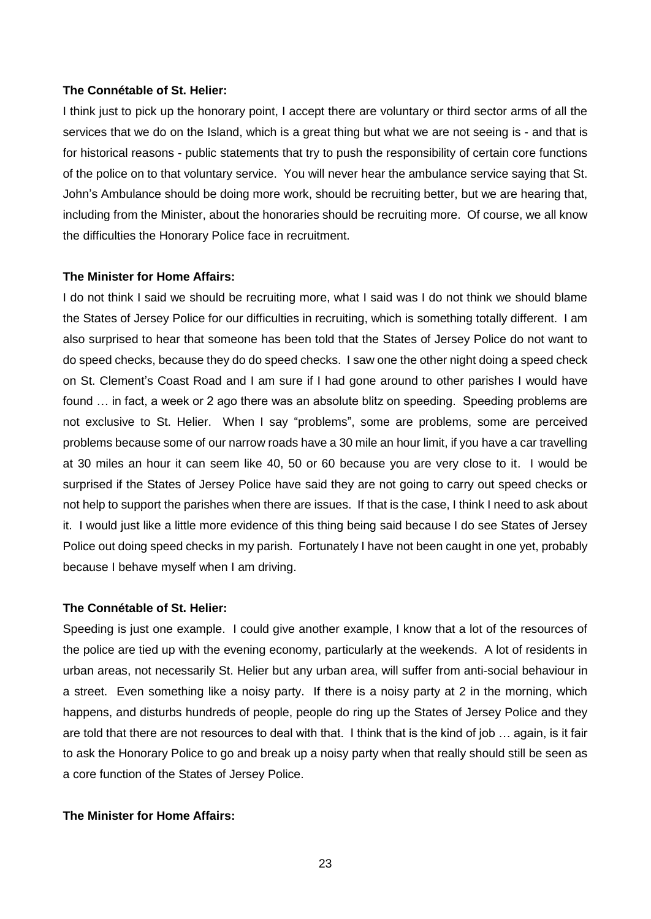### **The Connétable of St. Helier:**

I think just to pick up the honorary point, I accept there are voluntary or third sector arms of all the services that we do on the Island, which is a great thing but what we are not seeing is - and that is for historical reasons - public statements that try to push the responsibility of certain core functions of the police on to that voluntary service. You will never hear the ambulance service saying that St. John's Ambulance should be doing more work, should be recruiting better, but we are hearing that, including from the Minister, about the honoraries should be recruiting more. Of course, we all know the difficulties the Honorary Police face in recruitment.

#### **The Minister for Home Affairs:**

I do not think I said we should be recruiting more, what I said was I do not think we should blame the States of Jersey Police for our difficulties in recruiting, which is something totally different. I am also surprised to hear that someone has been told that the States of Jersey Police do not want to do speed checks, because they do do speed checks. I saw one the other night doing a speed check on St. Clement's Coast Road and I am sure if I had gone around to other parishes I would have found … in fact, a week or 2 ago there was an absolute blitz on speeding. Speeding problems are not exclusive to St. Helier. When I say "problems", some are problems, some are perceived problems because some of our narrow roads have a 30 mile an hour limit, if you have a car travelling at 30 miles an hour it can seem like 40, 50 or 60 because you are very close to it. I would be surprised if the States of Jersey Police have said they are not going to carry out speed checks or not help to support the parishes when there are issues. If that is the case, I think I need to ask about it. I would just like a little more evidence of this thing being said because I do see States of Jersey Police out doing speed checks in my parish. Fortunately I have not been caught in one yet, probably because I behave myself when I am driving.

#### **The Connétable of St. Helier:**

Speeding is just one example. I could give another example, I know that a lot of the resources of the police are tied up with the evening economy, particularly at the weekends. A lot of residents in urban areas, not necessarily St. Helier but any urban area, will suffer from anti-social behaviour in a street. Even something like a noisy party. If there is a noisy party at 2 in the morning, which happens, and disturbs hundreds of people, people do ring up the States of Jersey Police and they are told that there are not resources to deal with that. I think that is the kind of job … again, is it fair to ask the Honorary Police to go and break up a noisy party when that really should still be seen as a core function of the States of Jersey Police.

#### **The Minister for Home Affairs:**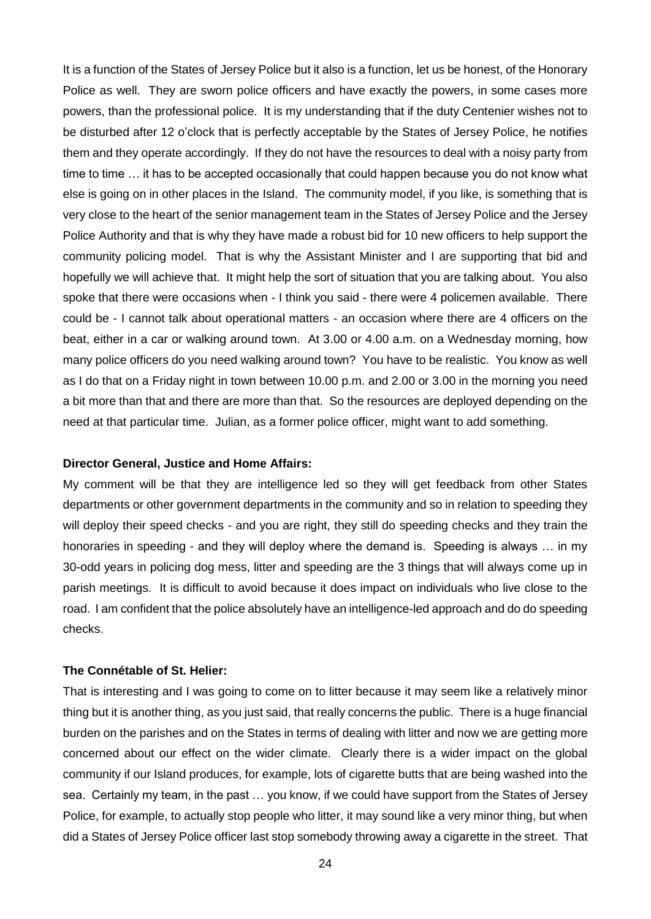It is a function of the States of Jersey Police but it also is a function, let us be honest, of the Honorary Police as well. They are sworn police officers and have exactly the powers, in some cases more powers, than the professional police. It is my understanding that if the duty Centenier wishes not to be disturbed after 12 o'clock that is perfectly acceptable by the States of Jersey Police, he notifies them and they operate accordingly. If they do not have the resources to deal with a noisy party from time to time … it has to be accepted occasionally that could happen because you do not know what else is going on in other places in the Island. The community model, if you like, is something that is very close to the heart of the senior management team in the States of Jersey Police and the Jersey Police Authority and that is why they have made a robust bid for 10 new officers to help support the community policing model. That is why the Assistant Minister and I are supporting that bid and hopefully we will achieve that. It might help the sort of situation that you are talking about. You also spoke that there were occasions when - I think you said - there were 4 policemen available. There could be - I cannot talk about operational matters - an occasion where there are 4 officers on the beat, either in a car or walking around town. At 3.00 or 4.00 a.m. on a Wednesday morning, how many police officers do you need walking around town? You have to be realistic. You know as well as I do that on a Friday night in town between 10.00 p.m. and 2.00 or 3.00 in the morning you need a bit more than that and there are more than that. So the resources are deployed depending on the need at that particular time. Julian, as a former police officer, might want to add something.

#### **Director General, Justice and Home Affairs:**

My comment will be that they are intelligence led so they will get feedback from other States departments or other government departments in the community and so in relation to speeding they will deploy their speed checks - and you are right, they still do speeding checks and they train the honoraries in speeding - and they will deploy where the demand is. Speeding is always ... in my 30-odd years in policing dog mess, litter and speeding are the 3 things that will always come up in parish meetings. It is difficult to avoid because it does impact on individuals who live close to the road. I am confident that the police absolutely have an intelligence-led approach and do do speeding checks.

#### **The Connétable of St. Helier:**

That is interesting and I was going to come on to litter because it may seem like a relatively minor thing but it is another thing, as you just said, that really concerns the public. There is a huge financial burden on the parishes and on the States in terms of dealing with litter and now we are getting more concerned about our effect on the wider climate. Clearly there is a wider impact on the global community if our Island produces, for example, lots of cigarette butts that are being washed into the sea. Certainly my team, in the past … you know, if we could have support from the States of Jersey Police, for example, to actually stop people who litter, it may sound like a very minor thing, but when did a States of Jersey Police officer last stop somebody throwing away a cigarette in the street. That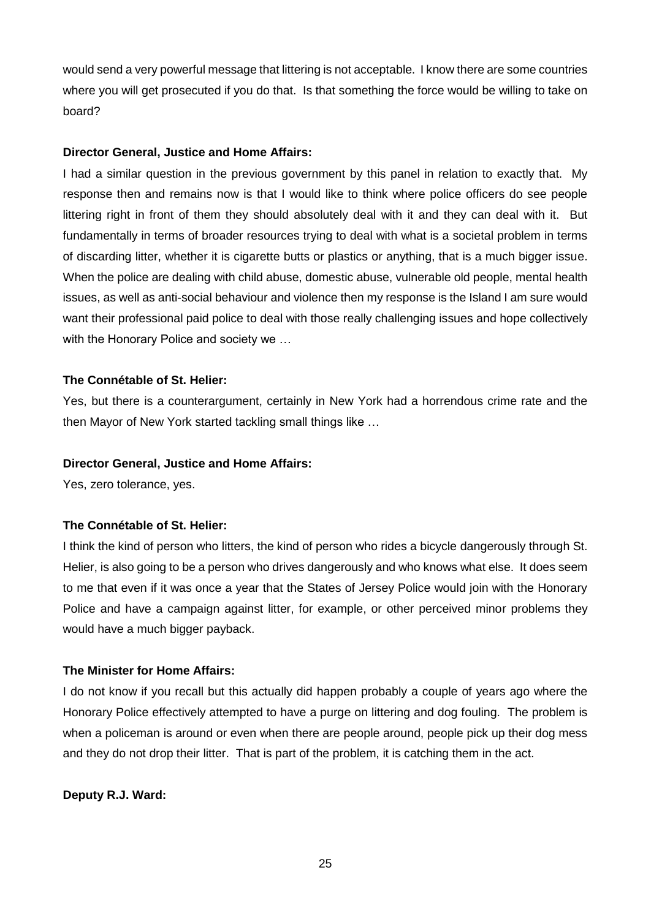would send a very powerful message that littering is not acceptable. I know there are some countries where you will get prosecuted if you do that. Is that something the force would be willing to take on board?

### **Director General, Justice and Home Affairs:**

I had a similar question in the previous government by this panel in relation to exactly that. My response then and remains now is that I would like to think where police officers do see people littering right in front of them they should absolutely deal with it and they can deal with it. But fundamentally in terms of broader resources trying to deal with what is a societal problem in terms of discarding litter, whether it is cigarette butts or plastics or anything, that is a much bigger issue. When the police are dealing with child abuse, domestic abuse, vulnerable old people, mental health issues, as well as anti-social behaviour and violence then my response is the Island I am sure would want their professional paid police to deal with those really challenging issues and hope collectively with the Honorary Police and society we ...

### **The Connétable of St. Helier:**

Yes, but there is a counterargument, certainly in New York had a horrendous crime rate and the then Mayor of New York started tackling small things like …

### **Director General, Justice and Home Affairs:**

Yes, zero tolerance, yes.

### **The Connétable of St. Helier:**

I think the kind of person who litters, the kind of person who rides a bicycle dangerously through St. Helier, is also going to be a person who drives dangerously and who knows what else. It does seem to me that even if it was once a year that the States of Jersey Police would join with the Honorary Police and have a campaign against litter, for example, or other perceived minor problems they would have a much bigger payback.

### **The Minister for Home Affairs:**

I do not know if you recall but this actually did happen probably a couple of years ago where the Honorary Police effectively attempted to have a purge on littering and dog fouling. The problem is when a policeman is around or even when there are people around, people pick up their dog mess and they do not drop their litter. That is part of the problem, it is catching them in the act.

### **Deputy R.J. Ward:**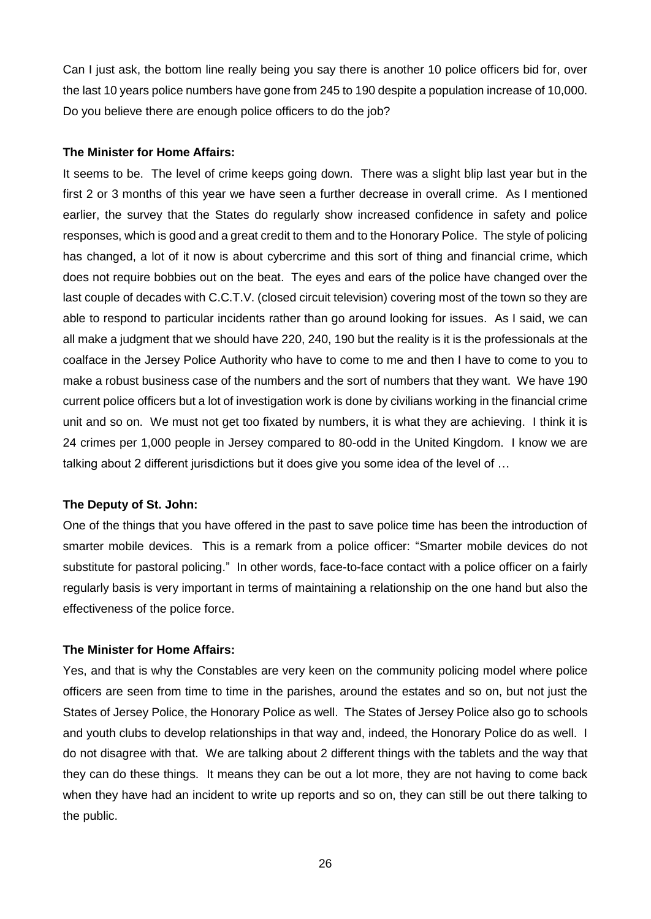Can I just ask, the bottom line really being you say there is another 10 police officers bid for, over the last 10 years police numbers have gone from 245 to 190 despite a population increase of 10,000. Do you believe there are enough police officers to do the job?

#### **The Minister for Home Affairs:**

It seems to be. The level of crime keeps going down. There was a slight blip last year but in the first 2 or 3 months of this year we have seen a further decrease in overall crime. As I mentioned earlier, the survey that the States do regularly show increased confidence in safety and police responses, which is good and a great credit to them and to the Honorary Police. The style of policing has changed, a lot of it now is about cybercrime and this sort of thing and financial crime, which does not require bobbies out on the beat. The eyes and ears of the police have changed over the last couple of decades with C.C.T.V. (closed circuit television) covering most of the town so they are able to respond to particular incidents rather than go around looking for issues. As I said, we can all make a judgment that we should have 220, 240, 190 but the reality is it is the professionals at the coalface in the Jersey Police Authority who have to come to me and then I have to come to you to make a robust business case of the numbers and the sort of numbers that they want. We have 190 current police officers but a lot of investigation work is done by civilians working in the financial crime unit and so on. We must not get too fixated by numbers, it is what they are achieving. I think it is 24 crimes per 1,000 people in Jersey compared to 80-odd in the United Kingdom. I know we are talking about 2 different jurisdictions but it does give you some idea of the level of …

#### **The Deputy of St. John:**

One of the things that you have offered in the past to save police time has been the introduction of smarter mobile devices. This is a remark from a police officer: "Smarter mobile devices do not substitute for pastoral policing." In other words, face-to-face contact with a police officer on a fairly regularly basis is very important in terms of maintaining a relationship on the one hand but also the effectiveness of the police force.

#### **The Minister for Home Affairs:**

Yes, and that is why the Constables are very keen on the community policing model where police officers are seen from time to time in the parishes, around the estates and so on, but not just the States of Jersey Police, the Honorary Police as well. The States of Jersey Police also go to schools and youth clubs to develop relationships in that way and, indeed, the Honorary Police do as well. I do not disagree with that. We are talking about 2 different things with the tablets and the way that they can do these things. It means they can be out a lot more, they are not having to come back when they have had an incident to write up reports and so on, they can still be out there talking to the public.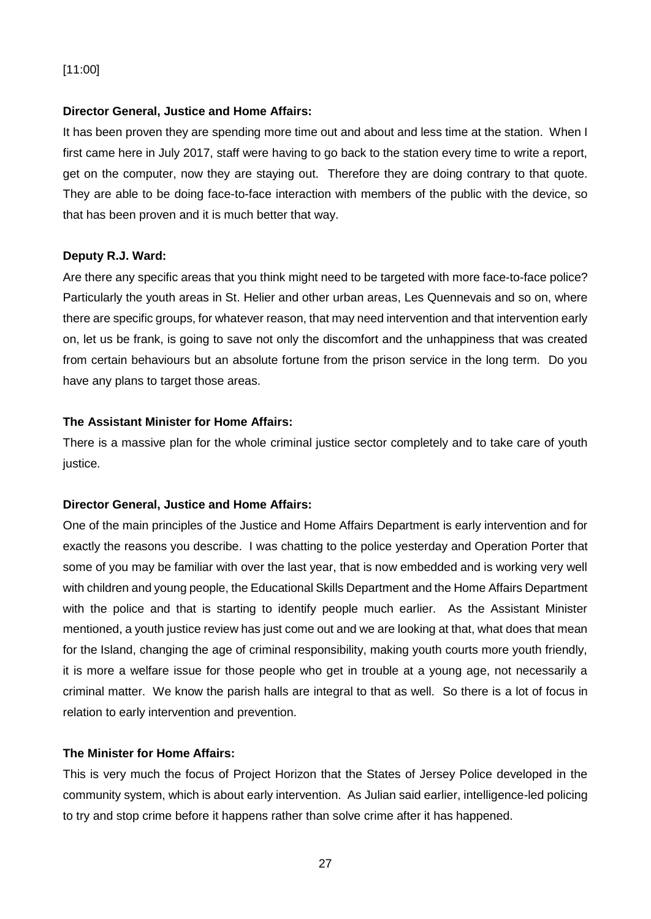# [11:00]

### **Director General, Justice and Home Affairs:**

It has been proven they are spending more time out and about and less time at the station. When I first came here in July 2017, staff were having to go back to the station every time to write a report, get on the computer, now they are staying out. Therefore they are doing contrary to that quote. They are able to be doing face-to-face interaction with members of the public with the device, so that has been proven and it is much better that way.

### **Deputy R.J. Ward:**

Are there any specific areas that you think might need to be targeted with more face-to-face police? Particularly the youth areas in St. Helier and other urban areas, Les Quennevais and so on, where there are specific groups, for whatever reason, that may need intervention and that intervention early on, let us be frank, is going to save not only the discomfort and the unhappiness that was created from certain behaviours but an absolute fortune from the prison service in the long term. Do you have any plans to target those areas.

### **The Assistant Minister for Home Affairs:**

There is a massive plan for the whole criminal justice sector completely and to take care of youth justice.

### **Director General, Justice and Home Affairs:**

One of the main principles of the Justice and Home Affairs Department is early intervention and for exactly the reasons you describe. I was chatting to the police yesterday and Operation Porter that some of you may be familiar with over the last year, that is now embedded and is working very well with children and young people, the Educational Skills Department and the Home Affairs Department with the police and that is starting to identify people much earlier. As the Assistant Minister mentioned, a youth justice review has just come out and we are looking at that, what does that mean for the Island, changing the age of criminal responsibility, making youth courts more youth friendly, it is more a welfare issue for those people who get in trouble at a young age, not necessarily a criminal matter. We know the parish halls are integral to that as well. So there is a lot of focus in relation to early intervention and prevention.

#### **The Minister for Home Affairs:**

This is very much the focus of Project Horizon that the States of Jersey Police developed in the community system, which is about early intervention. As Julian said earlier, intelligence-led policing to try and stop crime before it happens rather than solve crime after it has happened.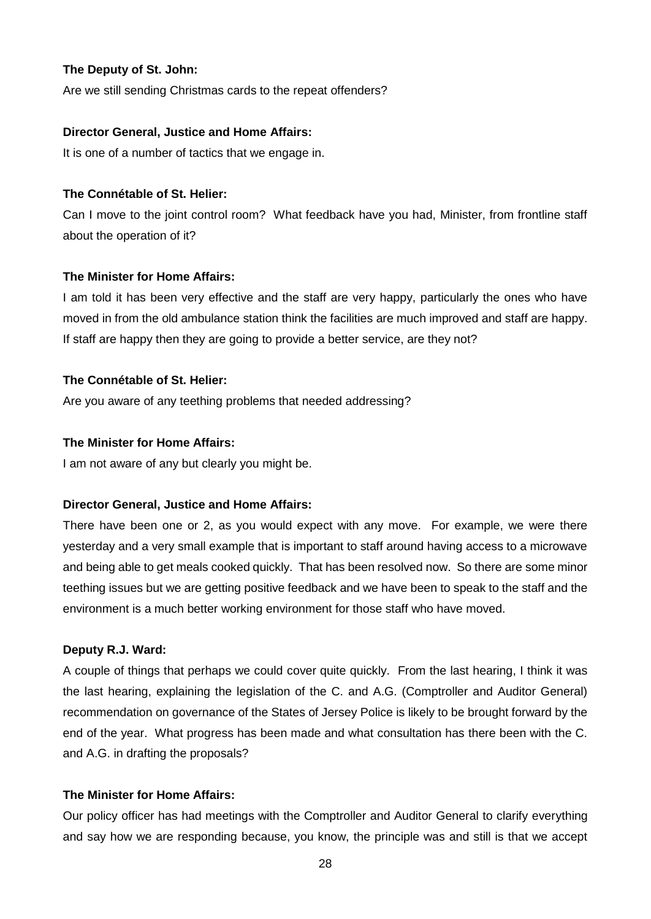### **The Deputy of St. John:**

Are we still sending Christmas cards to the repeat offenders?

### **Director General, Justice and Home Affairs:**

It is one of a number of tactics that we engage in.

### **The Connétable of St. Helier:**

Can I move to the joint control room? What feedback have you had, Minister, from frontline staff about the operation of it?

### **The Minister for Home Affairs:**

I am told it has been very effective and the staff are very happy, particularly the ones who have moved in from the old ambulance station think the facilities are much improved and staff are happy. If staff are happy then they are going to provide a better service, are they not?

### **The Connétable of St. Helier:**

Are you aware of any teething problems that needed addressing?

### **The Minister for Home Affairs:**

I am not aware of any but clearly you might be.

### **Director General, Justice and Home Affairs:**

There have been one or 2, as you would expect with any move. For example, we were there yesterday and a very small example that is important to staff around having access to a microwave and being able to get meals cooked quickly. That has been resolved now. So there are some minor teething issues but we are getting positive feedback and we have been to speak to the staff and the environment is a much better working environment for those staff who have moved.

### **Deputy R.J. Ward:**

A couple of things that perhaps we could cover quite quickly. From the last hearing, I think it was the last hearing, explaining the legislation of the C. and A.G. (Comptroller and Auditor General) recommendation on governance of the States of Jersey Police is likely to be brought forward by the end of the year. What progress has been made and what consultation has there been with the C. and A.G. in drafting the proposals?

### **The Minister for Home Affairs:**

Our policy officer has had meetings with the Comptroller and Auditor General to clarify everything and say how we are responding because, you know, the principle was and still is that we accept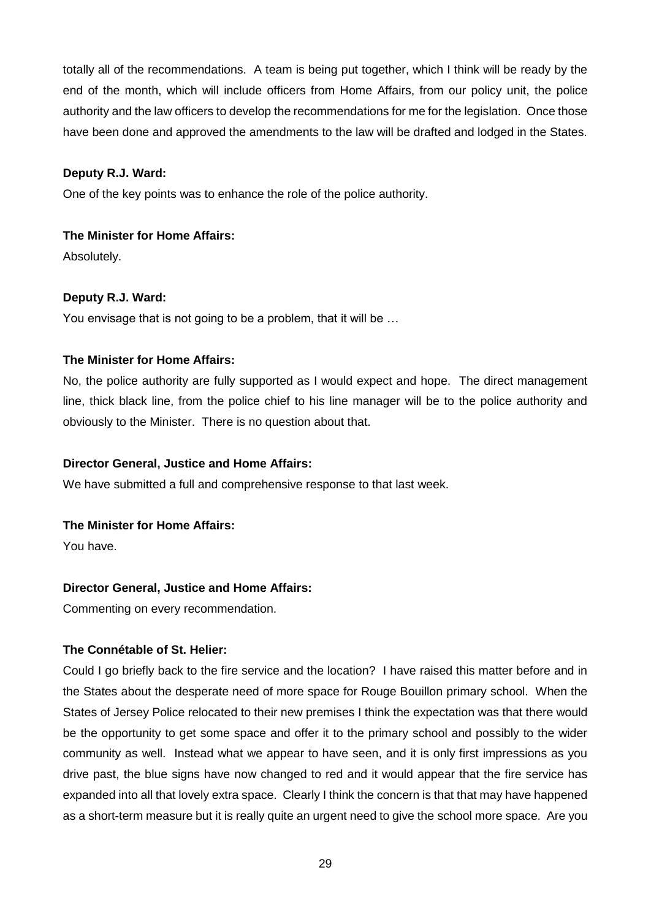totally all of the recommendations. A team is being put together, which I think will be ready by the end of the month, which will include officers from Home Affairs, from our policy unit, the police authority and the law officers to develop the recommendations for me for the legislation. Once those have been done and approved the amendments to the law will be drafted and lodged in the States.

### **Deputy R.J. Ward:**

One of the key points was to enhance the role of the police authority.

# **The Minister for Home Affairs:**

Absolutely.

# **Deputy R.J. Ward:**

You envisage that is not going to be a problem, that it will be …

# **The Minister for Home Affairs:**

No, the police authority are fully supported as I would expect and hope. The direct management line, thick black line, from the police chief to his line manager will be to the police authority and obviously to the Minister. There is no question about that.

### **Director General, Justice and Home Affairs:**

We have submitted a full and comprehensive response to that last week.

### **The Minister for Home Affairs:**

You have.

# **Director General, Justice and Home Affairs:**

Commenting on every recommendation.

# **The Connétable of St. Helier:**

Could I go briefly back to the fire service and the location? I have raised this matter before and in the States about the desperate need of more space for Rouge Bouillon primary school. When the States of Jersey Police relocated to their new premises I think the expectation was that there would be the opportunity to get some space and offer it to the primary school and possibly to the wider community as well. Instead what we appear to have seen, and it is only first impressions as you drive past, the blue signs have now changed to red and it would appear that the fire service has expanded into all that lovely extra space. Clearly I think the concern is that that may have happened as a short-term measure but it is really quite an urgent need to give the school more space. Are you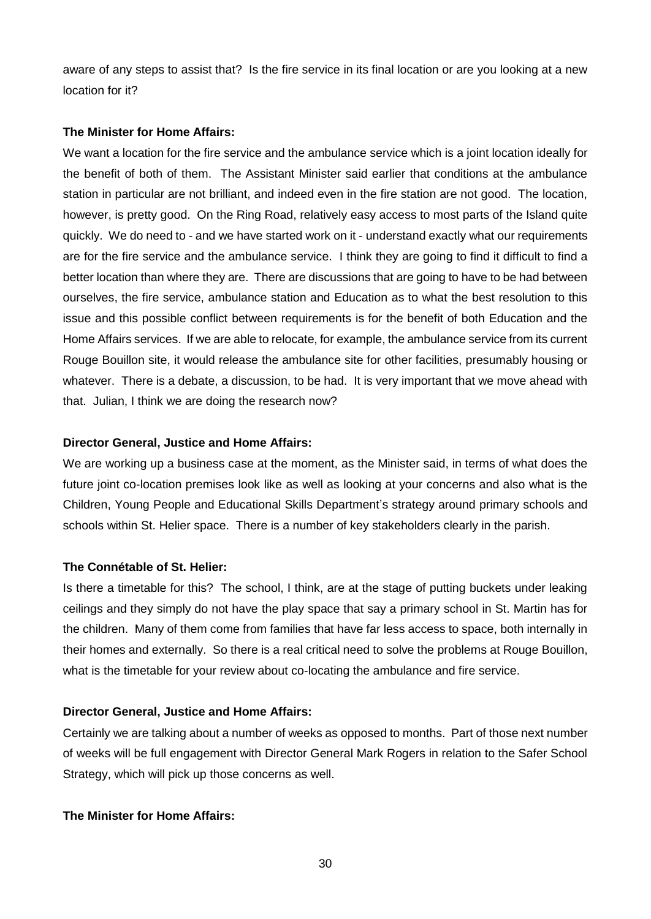aware of any steps to assist that? Is the fire service in its final location or are you looking at a new location for it?

### **The Minister for Home Affairs:**

We want a location for the fire service and the ambulance service which is a joint location ideally for the benefit of both of them. The Assistant Minister said earlier that conditions at the ambulance station in particular are not brilliant, and indeed even in the fire station are not good. The location, however, is pretty good. On the Ring Road, relatively easy access to most parts of the Island quite quickly. We do need to - and we have started work on it - understand exactly what our requirements are for the fire service and the ambulance service. I think they are going to find it difficult to find a better location than where they are. There are discussions that are going to have to be had between ourselves, the fire service, ambulance station and Education as to what the best resolution to this issue and this possible conflict between requirements is for the benefit of both Education and the Home Affairs services. If we are able to relocate, for example, the ambulance service from its current Rouge Bouillon site, it would release the ambulance site for other facilities, presumably housing or whatever. There is a debate, a discussion, to be had. It is very important that we move ahead with that. Julian, I think we are doing the research now?

### **Director General, Justice and Home Affairs:**

We are working up a business case at the moment, as the Minister said, in terms of what does the future joint co-location premises look like as well as looking at your concerns and also what is the Children, Young People and Educational Skills Department's strategy around primary schools and schools within St. Helier space. There is a number of key stakeholders clearly in the parish.

### **The Connétable of St. Helier:**

Is there a timetable for this? The school, I think, are at the stage of putting buckets under leaking ceilings and they simply do not have the play space that say a primary school in St. Martin has for the children. Many of them come from families that have far less access to space, both internally in their homes and externally. So there is a real critical need to solve the problems at Rouge Bouillon, what is the timetable for your review about co-locating the ambulance and fire service.

### **Director General, Justice and Home Affairs:**

Certainly we are talking about a number of weeks as opposed to months. Part of those next number of weeks will be full engagement with Director General Mark Rogers in relation to the Safer School Strategy, which will pick up those concerns as well.

### **The Minister for Home Affairs:**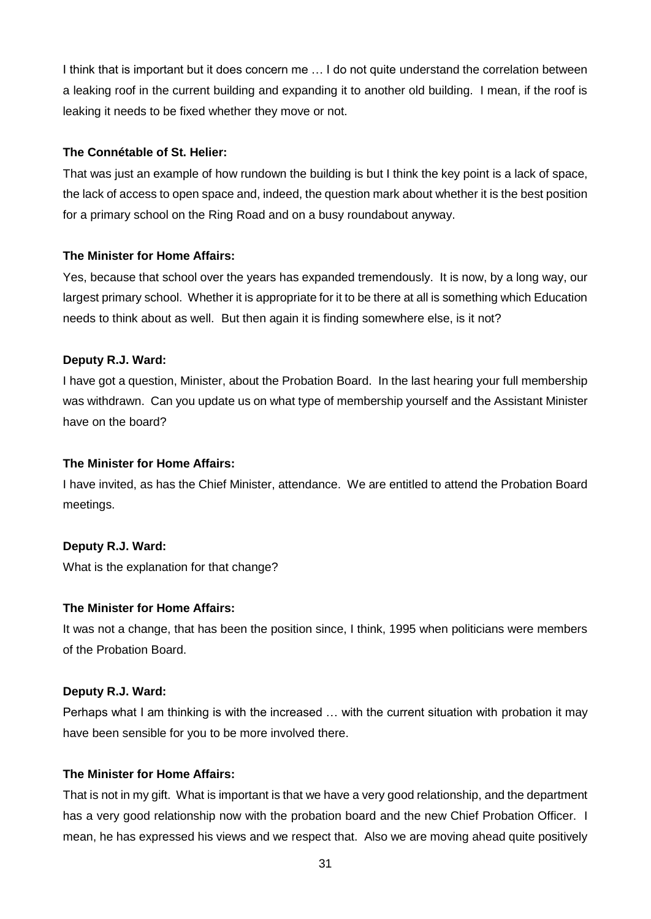I think that is important but it does concern me … I do not quite understand the correlation between a leaking roof in the current building and expanding it to another old building. I mean, if the roof is leaking it needs to be fixed whether they move or not.

### **The Connétable of St. Helier:**

That was just an example of how rundown the building is but I think the key point is a lack of space, the lack of access to open space and, indeed, the question mark about whether it is the best position for a primary school on the Ring Road and on a busy roundabout anyway.

### **The Minister for Home Affairs:**

Yes, because that school over the years has expanded tremendously. It is now, by a long way, our largest primary school. Whether it is appropriate for it to be there at all is something which Education needs to think about as well. But then again it is finding somewhere else, is it not?

### **Deputy R.J. Ward:**

I have got a question, Minister, about the Probation Board. In the last hearing your full membership was withdrawn. Can you update us on what type of membership yourself and the Assistant Minister have on the board?

### **The Minister for Home Affairs:**

I have invited, as has the Chief Minister, attendance. We are entitled to attend the Probation Board meetings.

### **Deputy R.J. Ward:**

What is the explanation for that change?

### **The Minister for Home Affairs:**

It was not a change, that has been the position since, I think, 1995 when politicians were members of the Probation Board.

#### **Deputy R.J. Ward:**

Perhaps what I am thinking is with the increased … with the current situation with probation it may have been sensible for you to be more involved there.

### **The Minister for Home Affairs:**

That is not in my gift. What is important is that we have a very good relationship, and the department has a very good relationship now with the probation board and the new Chief Probation Officer. I mean, he has expressed his views and we respect that. Also we are moving ahead quite positively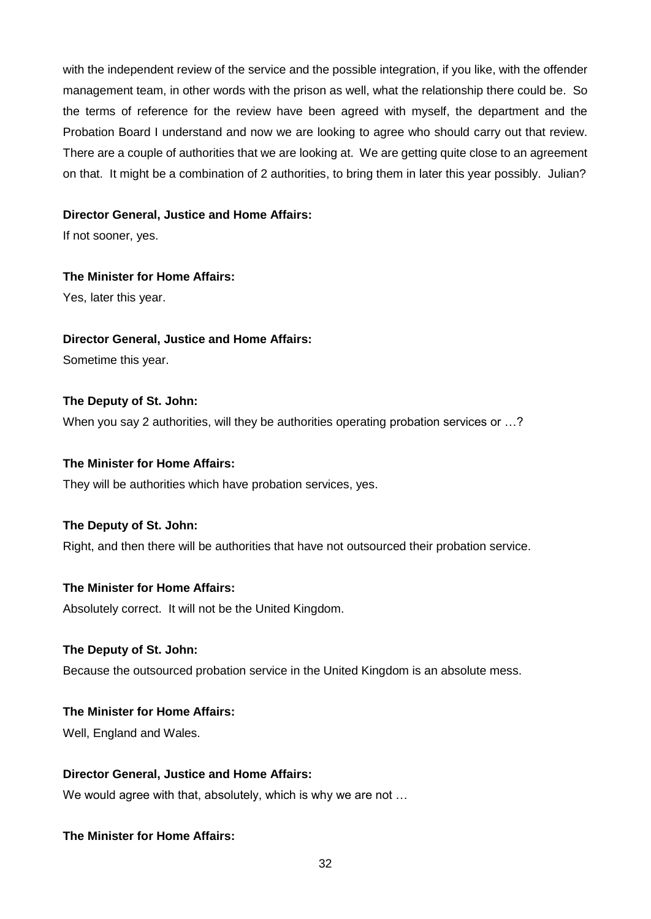with the independent review of the service and the possible integration, if you like, with the offender management team, in other words with the prison as well, what the relationship there could be. So the terms of reference for the review have been agreed with myself, the department and the Probation Board I understand and now we are looking to agree who should carry out that review. There are a couple of authorities that we are looking at. We are getting quite close to an agreement on that. It might be a combination of 2 authorities, to bring them in later this year possibly. Julian?

#### **Director General, Justice and Home Affairs:**

If not sooner, yes.

### **The Minister for Home Affairs:**

Yes, later this year.

### **Director General, Justice and Home Affairs:**

Sometime this year.

### **The Deputy of St. John:**

When you say 2 authorities, will they be authorities operating probation services or …?

### **The Minister for Home Affairs:**

They will be authorities which have probation services, yes.

### **The Deputy of St. John:**

Right, and then there will be authorities that have not outsourced their probation service.

#### **The Minister for Home Affairs:**

Absolutely correct. It will not be the United Kingdom.

### **The Deputy of St. John:**

Because the outsourced probation service in the United Kingdom is an absolute mess.

### **The Minister for Home Affairs:**

Well, England and Wales.

### **Director General, Justice and Home Affairs:**

We would agree with that, absolutely, which is why we are not …

### **The Minister for Home Affairs:**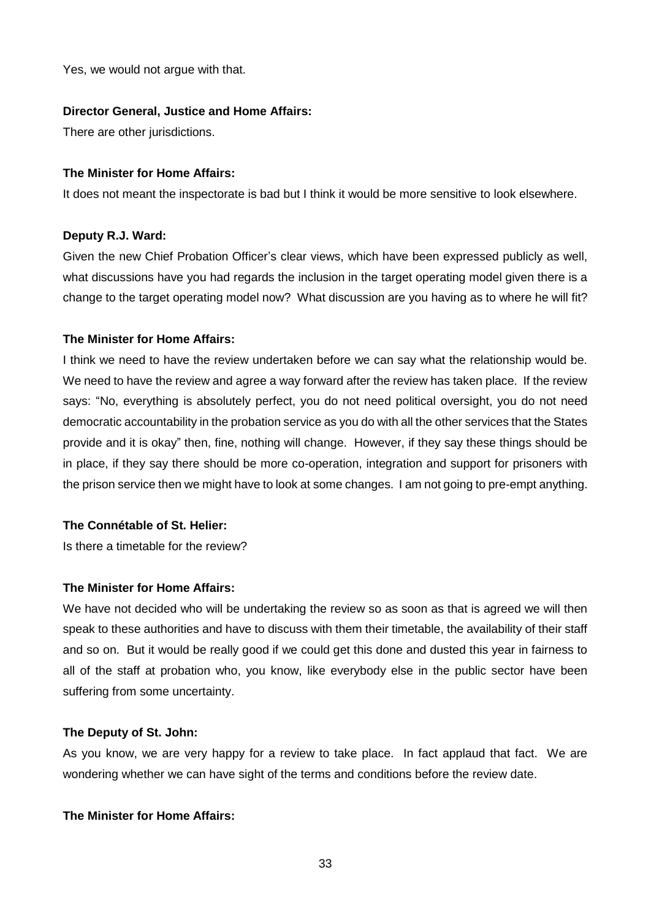Yes, we would not argue with that.

### **Director General, Justice and Home Affairs:**

There are other jurisdictions.

### **The Minister for Home Affairs:**

It does not meant the inspectorate is bad but I think it would be more sensitive to look elsewhere.

### **Deputy R.J. Ward:**

Given the new Chief Probation Officer's clear views, which have been expressed publicly as well, what discussions have you had regards the inclusion in the target operating model given there is a change to the target operating model now? What discussion are you having as to where he will fit?

### **The Minister for Home Affairs:**

I think we need to have the review undertaken before we can say what the relationship would be. We need to have the review and agree a way forward after the review has taken place. If the review says: "No, everything is absolutely perfect, you do not need political oversight, you do not need democratic accountability in the probation service as you do with all the other services that the States provide and it is okay" then, fine, nothing will change. However, if they say these things should be in place, if they say there should be more co-operation, integration and support for prisoners with the prison service then we might have to look at some changes. I am not going to pre-empt anything.

### **The Connétable of St. Helier:**

Is there a timetable for the review?

### **The Minister for Home Affairs:**

We have not decided who will be undertaking the review so as soon as that is agreed we will then speak to these authorities and have to discuss with them their timetable, the availability of their staff and so on. But it would be really good if we could get this done and dusted this year in fairness to all of the staff at probation who, you know, like everybody else in the public sector have been suffering from some uncertainty.

#### **The Deputy of St. John:**

As you know, we are very happy for a review to take place. In fact applaud that fact. We are wondering whether we can have sight of the terms and conditions before the review date.

### **The Minister for Home Affairs:**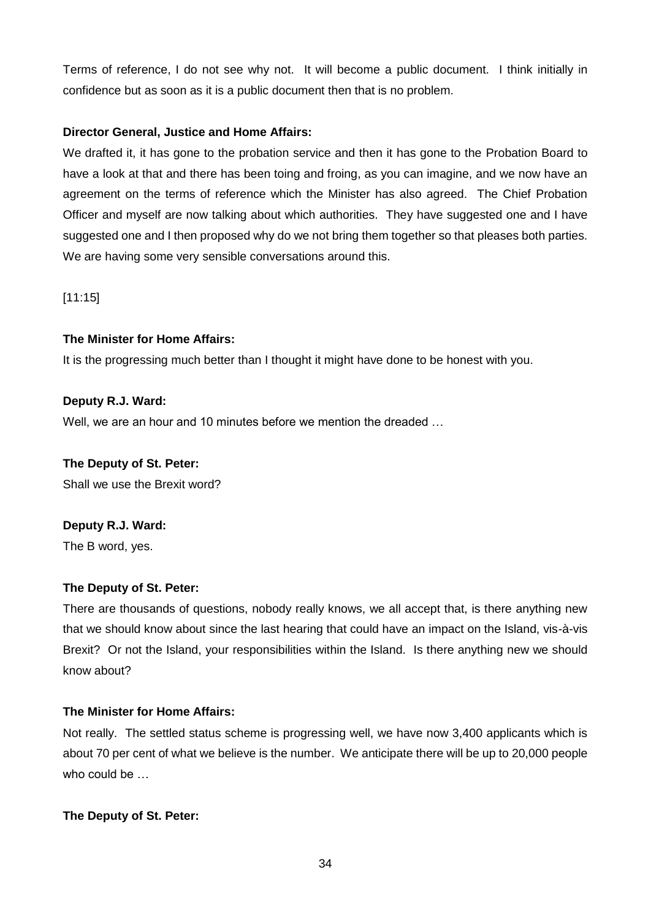Terms of reference, I do not see why not. It will become a public document. I think initially in confidence but as soon as it is a public document then that is no problem.

# **Director General, Justice and Home Affairs:**

We drafted it, it has gone to the probation service and then it has gone to the Probation Board to have a look at that and there has been toing and froing, as you can imagine, and we now have an agreement on the terms of reference which the Minister has also agreed. The Chief Probation Officer and myself are now talking about which authorities. They have suggested one and I have suggested one and I then proposed why do we not bring them together so that pleases both parties. We are having some very sensible conversations around this.

[11:15]

# **The Minister for Home Affairs:**

It is the progressing much better than I thought it might have done to be honest with you.

# **Deputy R.J. Ward:**

Well, we are an hour and 10 minutes before we mention the dreaded …

### **The Deputy of St. Peter:**

Shall we use the Brexit word?

# **Deputy R.J. Ward:**

The B word, yes.

# **The Deputy of St. Peter:**

There are thousands of questions, nobody really knows, we all accept that, is there anything new that we should know about since the last hearing that could have an impact on the Island, vis-à-vis Brexit? Or not the Island, your responsibilities within the Island. Is there anything new we should know about?

### **The Minister for Home Affairs:**

Not really. The settled status scheme is progressing well, we have now 3,400 applicants which is about 70 per cent of what we believe is the number. We anticipate there will be up to 20,000 people who could be …

### **The Deputy of St. Peter:**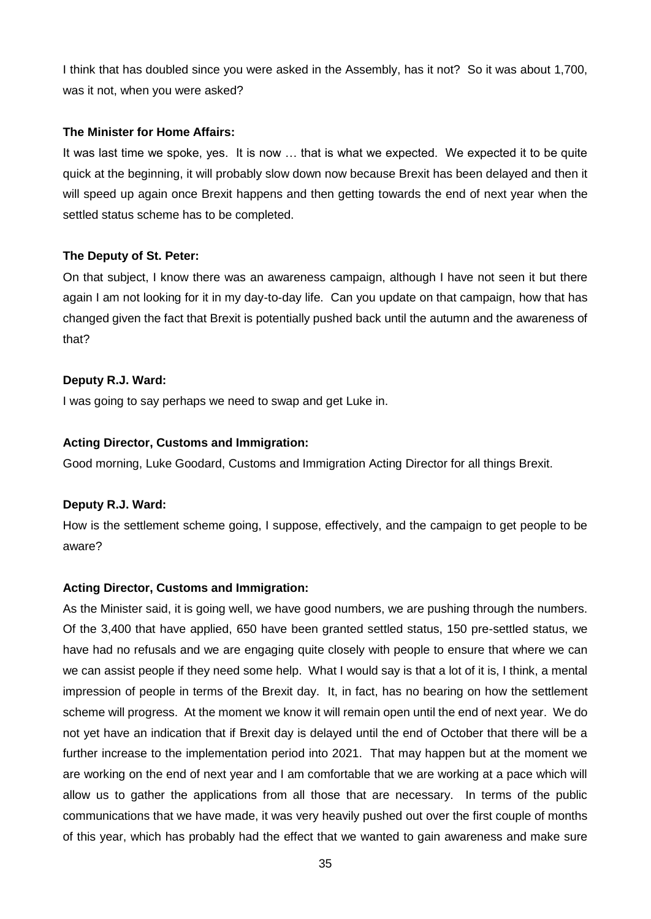I think that has doubled since you were asked in the Assembly, has it not? So it was about 1,700, was it not, when you were asked?

### **The Minister for Home Affairs:**

It was last time we spoke, yes. It is now … that is what we expected. We expected it to be quite quick at the beginning, it will probably slow down now because Brexit has been delayed and then it will speed up again once Brexit happens and then getting towards the end of next year when the settled status scheme has to be completed.

### **The Deputy of St. Peter:**

On that subject, I know there was an awareness campaign, although I have not seen it but there again I am not looking for it in my day-to-day life. Can you update on that campaign, how that has changed given the fact that Brexit is potentially pushed back until the autumn and the awareness of that?

### **Deputy R.J. Ward:**

I was going to say perhaps we need to swap and get Luke in.

### **Acting Director, Customs and Immigration:**

Good morning, Luke Goodard, Customs and Immigration Acting Director for all things Brexit.

### **Deputy R.J. Ward:**

How is the settlement scheme going, I suppose, effectively, and the campaign to get people to be aware?

### **Acting Director, Customs and Immigration:**

As the Minister said, it is going well, we have good numbers, we are pushing through the numbers. Of the 3,400 that have applied, 650 have been granted settled status, 150 pre-settled status, we have had no refusals and we are engaging quite closely with people to ensure that where we can we can assist people if they need some help. What I would say is that a lot of it is, I think, a mental impression of people in terms of the Brexit day. It, in fact, has no bearing on how the settlement scheme will progress. At the moment we know it will remain open until the end of next year. We do not yet have an indication that if Brexit day is delayed until the end of October that there will be a further increase to the implementation period into 2021. That may happen but at the moment we are working on the end of next year and I am comfortable that we are working at a pace which will allow us to gather the applications from all those that are necessary. In terms of the public communications that we have made, it was very heavily pushed out over the first couple of months of this year, which has probably had the effect that we wanted to gain awareness and make sure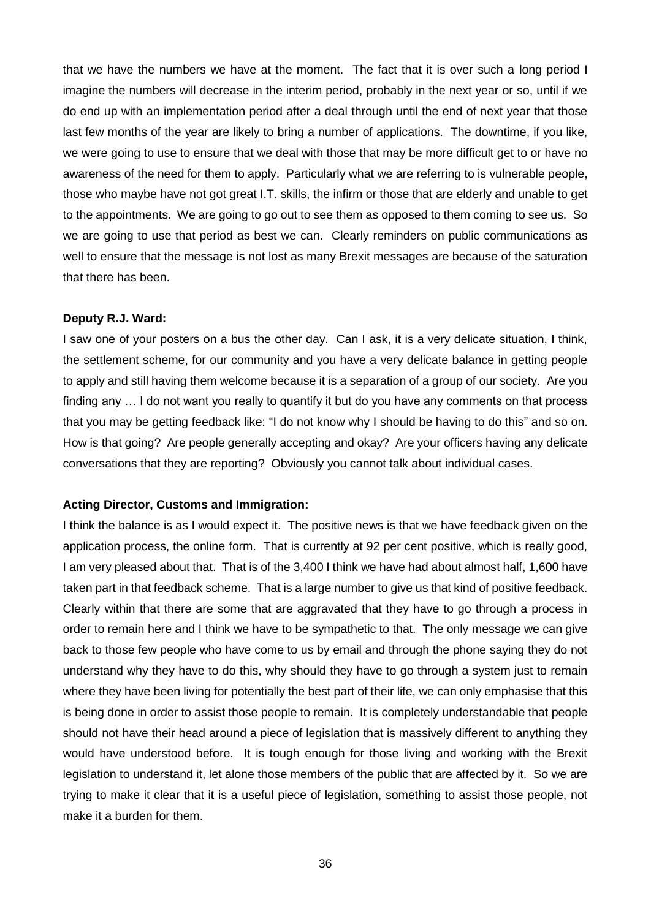that we have the numbers we have at the moment. The fact that it is over such a long period I imagine the numbers will decrease in the interim period, probably in the next year or so, until if we do end up with an implementation period after a deal through until the end of next year that those last few months of the year are likely to bring a number of applications. The downtime, if you like, we were going to use to ensure that we deal with those that may be more difficult get to or have no awareness of the need for them to apply. Particularly what we are referring to is vulnerable people, those who maybe have not got great I.T. skills, the infirm or those that are elderly and unable to get to the appointments. We are going to go out to see them as opposed to them coming to see us. So we are going to use that period as best we can. Clearly reminders on public communications as well to ensure that the message is not lost as many Brexit messages are because of the saturation that there has been.

#### **Deputy R.J. Ward:**

I saw one of your posters on a bus the other day. Can I ask, it is a very delicate situation, I think, the settlement scheme, for our community and you have a very delicate balance in getting people to apply and still having them welcome because it is a separation of a group of our society. Are you finding any … I do not want you really to quantify it but do you have any comments on that process that you may be getting feedback like: "I do not know why I should be having to do this" and so on. How is that going? Are people generally accepting and okay? Are your officers having any delicate conversations that they are reporting? Obviously you cannot talk about individual cases.

#### **Acting Director, Customs and Immigration:**

I think the balance is as I would expect it. The positive news is that we have feedback given on the application process, the online form. That is currently at 92 per cent positive, which is really good, I am very pleased about that. That is of the 3,400 I think we have had about almost half, 1,600 have taken part in that feedback scheme. That is a large number to give us that kind of positive feedback. Clearly within that there are some that are aggravated that they have to go through a process in order to remain here and I think we have to be sympathetic to that. The only message we can give back to those few people who have come to us by email and through the phone saying they do not understand why they have to do this, why should they have to go through a system just to remain where they have been living for potentially the best part of their life, we can only emphasise that this is being done in order to assist those people to remain. It is completely understandable that people should not have their head around a piece of legislation that is massively different to anything they would have understood before. It is tough enough for those living and working with the Brexit legislation to understand it, let alone those members of the public that are affected by it. So we are trying to make it clear that it is a useful piece of legislation, something to assist those people, not make it a burden for them.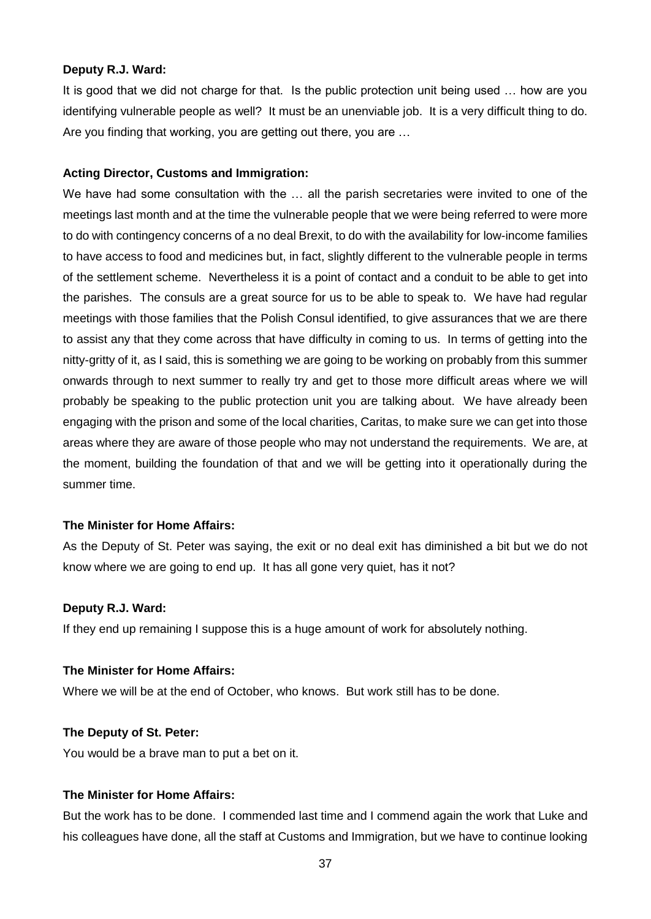#### **Deputy R.J. Ward:**

It is good that we did not charge for that. Is the public protection unit being used … how are you identifying vulnerable people as well? It must be an unenviable job. It is a very difficult thing to do. Are you finding that working, you are getting out there, you are …

### **Acting Director, Customs and Immigration:**

We have had some consultation with the ... all the parish secretaries were invited to one of the meetings last month and at the time the vulnerable people that we were being referred to were more to do with contingency concerns of a no deal Brexit, to do with the availability for low-income families to have access to food and medicines but, in fact, slightly different to the vulnerable people in terms of the settlement scheme. Nevertheless it is a point of contact and a conduit to be able to get into the parishes. The consuls are a great source for us to be able to speak to. We have had regular meetings with those families that the Polish Consul identified, to give assurances that we are there to assist any that they come across that have difficulty in coming to us. In terms of getting into the nitty-gritty of it, as I said, this is something we are going to be working on probably from this summer onwards through to next summer to really try and get to those more difficult areas where we will probably be speaking to the public protection unit you are talking about. We have already been engaging with the prison and some of the local charities, Caritas, to make sure we can get into those areas where they are aware of those people who may not understand the requirements. We are, at the moment, building the foundation of that and we will be getting into it operationally during the summer time.

#### **The Minister for Home Affairs:**

As the Deputy of St. Peter was saying, the exit or no deal exit has diminished a bit but we do not know where we are going to end up. It has all gone very quiet, has it not?

#### **Deputy R.J. Ward:**

If they end up remaining I suppose this is a huge amount of work for absolutely nothing.

#### **The Minister for Home Affairs:**

Where we will be at the end of October, who knows. But work still has to be done.

#### **The Deputy of St. Peter:**

You would be a brave man to put a bet on it.

### **The Minister for Home Affairs:**

But the work has to be done. I commended last time and I commend again the work that Luke and his colleagues have done, all the staff at Customs and Immigration, but we have to continue looking

37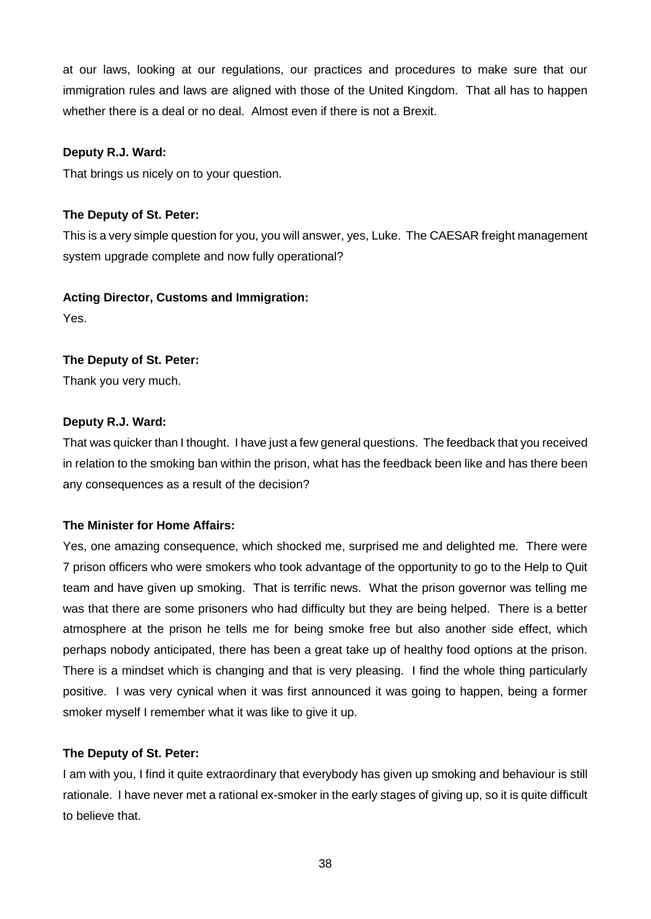at our laws, looking at our regulations, our practices and procedures to make sure that our immigration rules and laws are aligned with those of the United Kingdom. That all has to happen whether there is a deal or no deal. Almost even if there is not a Brexit.

### **Deputy R.J. Ward:**

That brings us nicely on to your question.

### **The Deputy of St. Peter:**

This is a very simple question for you, you will answer, yes, Luke. The CAESAR freight management system upgrade complete and now fully operational?

### **Acting Director, Customs and Immigration:**

Yes.

### **The Deputy of St. Peter:**

Thank you very much.

### **Deputy R.J. Ward:**

That was quicker than I thought. I have just a few general questions. The feedback that you received in relation to the smoking ban within the prison, what has the feedback been like and has there been any consequences as a result of the decision?

### **The Minister for Home Affairs:**

Yes, one amazing consequence, which shocked me, surprised me and delighted me. There were 7 prison officers who were smokers who took advantage of the opportunity to go to the Help to Quit team and have given up smoking. That is terrific news. What the prison governor was telling me was that there are some prisoners who had difficulty but they are being helped. There is a better atmosphere at the prison he tells me for being smoke free but also another side effect, which perhaps nobody anticipated, there has been a great take up of healthy food options at the prison. There is a mindset which is changing and that is very pleasing. I find the whole thing particularly positive. I was very cynical when it was first announced it was going to happen, being a former smoker myself I remember what it was like to give it up.

### **The Deputy of St. Peter:**

I am with you, I find it quite extraordinary that everybody has given up smoking and behaviour is still rationale. I have never met a rational ex-smoker in the early stages of giving up, so it is quite difficult to believe that.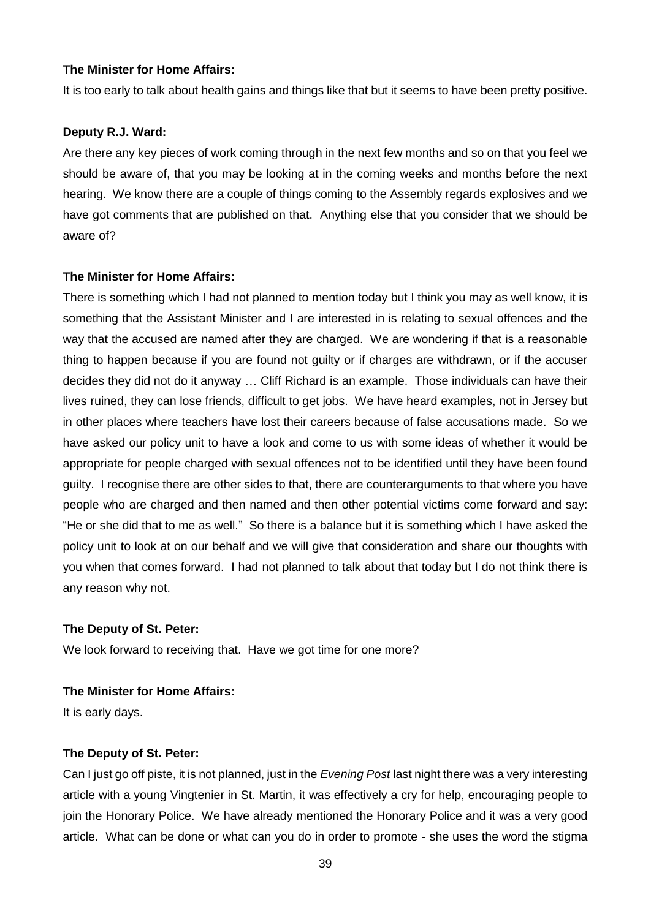### **The Minister for Home Affairs:**

It is too early to talk about health gains and things like that but it seems to have been pretty positive.

#### **Deputy R.J. Ward:**

Are there any key pieces of work coming through in the next few months and so on that you feel we should be aware of, that you may be looking at in the coming weeks and months before the next hearing. We know there are a couple of things coming to the Assembly regards explosives and we have got comments that are published on that. Anything else that you consider that we should be aware of?

#### **The Minister for Home Affairs:**

There is something which I had not planned to mention today but I think you may as well know, it is something that the Assistant Minister and I are interested in is relating to sexual offences and the way that the accused are named after they are charged. We are wondering if that is a reasonable thing to happen because if you are found not guilty or if charges are withdrawn, or if the accuser decides they did not do it anyway … Cliff Richard is an example. Those individuals can have their lives ruined, they can lose friends, difficult to get jobs. We have heard examples, not in Jersey but in other places where teachers have lost their careers because of false accusations made. So we have asked our policy unit to have a look and come to us with some ideas of whether it would be appropriate for people charged with sexual offences not to be identified until they have been found guilty. I recognise there are other sides to that, there are counterarguments to that where you have people who are charged and then named and then other potential victims come forward and say: "He or she did that to me as well." So there is a balance but it is something which I have asked the policy unit to look at on our behalf and we will give that consideration and share our thoughts with you when that comes forward. I had not planned to talk about that today but I do not think there is any reason why not.

#### **The Deputy of St. Peter:**

We look forward to receiving that. Have we got time for one more?

### **The Minister for Home Affairs:**

It is early days.

#### **The Deputy of St. Peter:**

Can I just go off piste, it is not planned, just in the *Evening Post* last night there was a very interesting article with a young Vingtenier in St. Martin, it was effectively a cry for help, encouraging people to join the Honorary Police. We have already mentioned the Honorary Police and it was a very good article. What can be done or what can you do in order to promote - she uses the word the stigma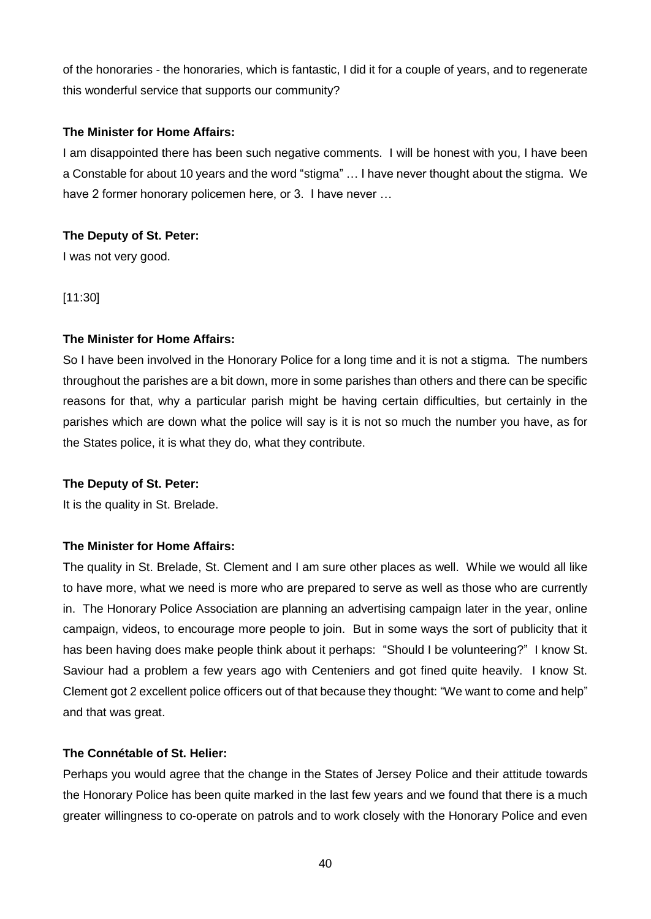of the honoraries - the honoraries, which is fantastic, I did it for a couple of years, and to regenerate this wonderful service that supports our community?

### **The Minister for Home Affairs:**

I am disappointed there has been such negative comments. I will be honest with you, I have been a Constable for about 10 years and the word "stigma" … I have never thought about the stigma. We have 2 former honorary policemen here, or 3. I have never ...

# **The Deputy of St. Peter:**

I was not very good.

[11:30]

# **The Minister for Home Affairs:**

So I have been involved in the Honorary Police for a long time and it is not a stigma. The numbers throughout the parishes are a bit down, more in some parishes than others and there can be specific reasons for that, why a particular parish might be having certain difficulties, but certainly in the parishes which are down what the police will say is it is not so much the number you have, as for the States police, it is what they do, what they contribute.

### **The Deputy of St. Peter:**

It is the quality in St. Brelade.

# **The Minister for Home Affairs:**

The quality in St. Brelade, St. Clement and I am sure other places as well. While we would all like to have more, what we need is more who are prepared to serve as well as those who are currently in. The Honorary Police Association are planning an advertising campaign later in the year, online campaign, videos, to encourage more people to join. But in some ways the sort of publicity that it has been having does make people think about it perhaps: "Should I be volunteering?" I know St. Saviour had a problem a few years ago with Centeniers and got fined quite heavily. I know St. Clement got 2 excellent police officers out of that because they thought: "We want to come and help" and that was great.

### **The Connétable of St. Helier:**

Perhaps you would agree that the change in the States of Jersey Police and their attitude towards the Honorary Police has been quite marked in the last few years and we found that there is a much greater willingness to co-operate on patrols and to work closely with the Honorary Police and even